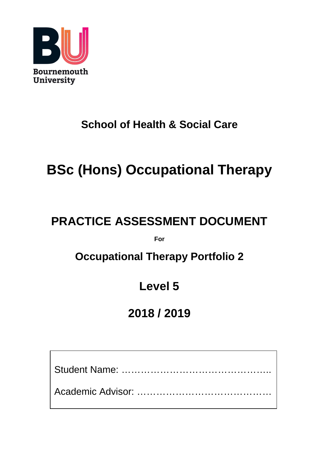

# **School of Health & Social Care**

# **BSc (Hons) Occupational Therapy**

# **PRACTICE ASSESSMENT DOCUMENT**

**For**

# **Occupational Therapy Portfolio 2**

# **Level 5**

# **2018 / 2019**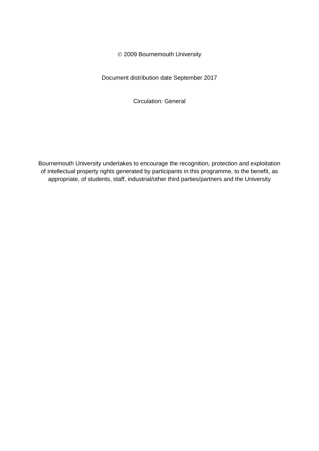2009 Bournemouth University

Document distribution date September 2017

Circulation: General

Bournemouth University undertakes to encourage the recognition, protection and exploitation of intellectual property rights generated by participants in this programme, to the benefit, as appropriate, of students, staff, industrial/other third parties/partners and the University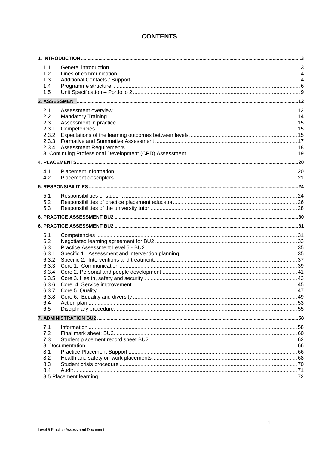# **CONTENTS**

| 1.1          |  |
|--------------|--|
| 1.2          |  |
| 1.3          |  |
| 1.4          |  |
| 1.5          |  |
|              |  |
| 2.1          |  |
| 2.2          |  |
| 2.3          |  |
| 2.3.1        |  |
| 2.3.2        |  |
| 2.3.3        |  |
|              |  |
|              |  |
|              |  |
| 4.1          |  |
| 4.2          |  |
|              |  |
|              |  |
| 5.1          |  |
| 5.2          |  |
| 5.3          |  |
|              |  |
|              |  |
| 6.1          |  |
| 6.2          |  |
| 6.3          |  |
| 6.3.1        |  |
| 6.3.2        |  |
| 6.3.3        |  |
| 6.3.4        |  |
| 6.3.5        |  |
| 6.3.6        |  |
| 6.3.7        |  |
| 6.3.8<br>6.4 |  |
| 6.5          |  |
|              |  |
|              |  |
| 7.1          |  |
| 7.2          |  |
| 7.3          |  |
|              |  |
| 8.1          |  |
| 8.2<br>8.3   |  |
| 8.4          |  |
|              |  |
|              |  |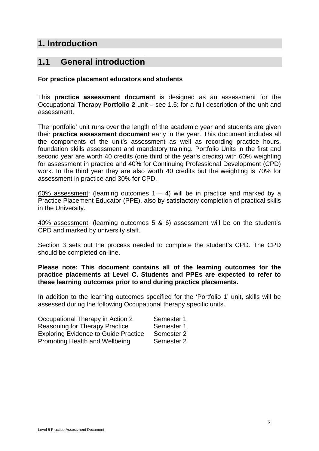# <span id="page-4-0"></span>**1. Introduction**

# <span id="page-4-1"></span>**1.1 General introduction**

## **For practice placement educators and students**

This **practice assessment document** is designed as an assessment for the Occupational Therapy **Portfolio 2** unit – see 1.5: for a full description of the unit and assessment.

The 'portfolio' unit runs over the length of the academic year and students are given their **practice assessment document** early in the year. This document includes all the components of the unit's assessment as well as recording practice hours, foundation skills assessment and mandatory training. Portfolio Units in the first and second year are worth 40 credits (one third of the year's credits) with 60% weighting for assessment in practice and 40% for Continuing Professional Development (CPD) work. In the third year they are also worth 40 credits but the weighting is 70% for assessment in practice and 30% for CPD.

60% assessment: (learning outcomes  $1 - 4$ ) will be in practice and marked by a Practice Placement Educator (PPE), also by satisfactory completion of practical skills in the University.

40% assessment: (learning outcomes 5 & 6) assessment will be on the student's CPD and marked by university staff.

Section 3 sets out the process needed to complete the student's CPD. The CPD should be completed on-line.

## **Please note: This document contains all of the learning outcomes for the practice placements at Level C. Students and PPEs are expected to refer to these learning outcomes prior to and during practice placements.**

In addition to the learning outcomes specified for the 'Portfolio 1' unit, skills will be assessed during the following Occupational therapy specific units.

| Occupational Therapy in Action 2            | Semester 1 |
|---------------------------------------------|------------|
| <b>Reasoning for Therapy Practice</b>       | Semester 1 |
| <b>Exploring Evidence to Guide Practice</b> | Semester 2 |
| Promoting Health and Wellbeing              | Semester 2 |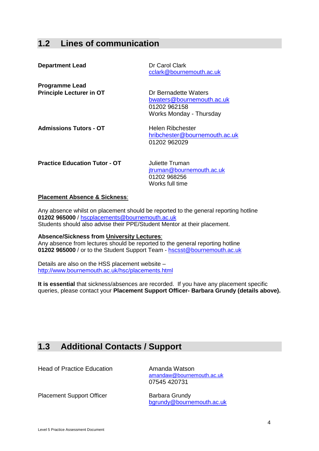# <span id="page-5-0"></span>**1.2 Lines of communication**

| <b>Department Lead</b>                                   | Dr Carol Clark<br>cclark@bournemouth.ac.uk                                                   |
|----------------------------------------------------------|----------------------------------------------------------------------------------------------|
| <b>Programme Lead</b><br><b>Principle Lecturer in OT</b> | Dr Bernadette Waters<br>bwaters@bournemouth.ac.uk<br>01202 962158<br>Works Monday - Thursday |
| <b>Admissions Tutors - OT</b>                            | Helen Ribchester<br>hribchester@bournemouth.ac.uk<br>01202 962029                            |
| <b>Practice Education Tutor - OT</b>                     | Juliette Truman<br>jtruman@bournemouth.ac.uk                                                 |

### **Placement Absence & Sickness**:

Any absence whilst on placement should be reported to the general reporting hotline **01202 965000** / [hscplacements@bournemouth.ac.uk](mailto:hscplacements@bournemouth.ac.uk) Students should also advise their PPE/Student Mentor at their placement.

01202 968256 Works full time

**Absence/Sickness from University Lectures**: Any absence from lectures should be reported to the general reporting hotline **01202 965000** / or to the Student Support Team - [hscsst@bournemouth.ac.uk](mailto:hscsst@bournemouth.ac.uk) 

Details are also on the HSS placement website – <http://www.bournemouth.ac.uk/hsc/placements.html>

**It is essential** that sickness/absences are recorded. If you have any placement specific queries, please contact your **Placement Support Officer- Barbara Grundy (details above).**

# <span id="page-5-1"></span>**1.3 Additional Contacts / Support**

**Head of Practice Education** Amanda Watson

[amandaw@bournemouth.ac.uk](mailto:amandaw@bournemouth.ac.uk) 07545 420731

Placement Support Officer Barbara Grundy

[bgrundy@bournemouth.ac.uk](mailto:bgrundy@bournemouth.ac.uk)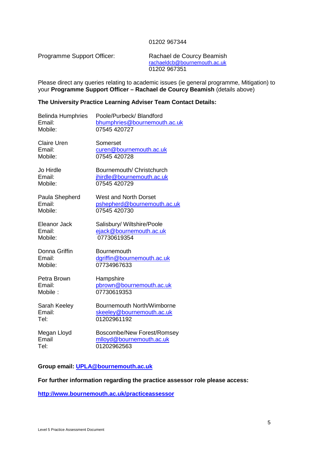#### 01202 967344

Programme Support Officer: Rachael de Courcy Beamish

[rachaeldcb@bournemouth.ac.uk](https://taw.bournemouth.ac.uk/owa/redir.aspx?C=8226647b3f3c49bd98c073f3673f8c27&URL=mailto%3arachaeldcb%40bournemouth.ac.uk) 01202 967351

Please direct any queries relating to academic issues (ie general programme, Mitigation) to your **Programme Support Officer – Rachael de Courcy Beamish** (details above)

## **The University Practice Learning Adviser Team Contact Details:**

| <b>Belinda Humphries</b> | Poole/Purbeck/ Blandford     |
|--------------------------|------------------------------|
| Email:                   | bhumphries@bournemouth.ac.uk |
| Mobile:                  | 07545 420727                 |
| <b>Claire Uren</b>       | Somerset                     |
| Email:                   | curen@bournemouth.ac.uk      |
| Mobile:                  | 07545 420728                 |
| Jo Hirdle                | Bournemouth/ Christchurch    |
| Email:                   | jhirdle@bournemouth.ac.uk    |
| Mobile:                  | 07545 420729                 |
| Paula Shepherd           | West and North Dorset        |
| Email:                   | pshepherd@bournemouth.ac.uk  |
| Mobile:                  | 07545 420730                 |
| Eleanor Jack             | Salisbury/ Wiltshire/Poole   |
| Email:                   | ejack@bournemouth.ac.uk      |
| Mobile:                  | 07730619354                  |
| Donna Griffin            | <b>Bournemouth</b>           |
| Email:                   | dgriffin@bournemouth.ac.uk   |
| Mobile:                  | 07734967633                  |
| Petra Brown              | Hampshire                    |
| Email:                   | pbrown@bournemouth.ac.uk     |
| Mobile:                  | 07730619353                  |
| Sarah Keeley             | Bournemouth North/Wimborne   |
| Email:                   | skeeley@bournemouth.ac.uk    |
| Tel:                     | 01202961192                  |
| Megan Lloyd              | Boscombe/New Forest/Romsey   |
| Email                    | mlloyd@bournemouth.ac.uk     |
| Tel:                     | 01202962563                  |

## **Group email: [UPLA@bournemouth.ac.uk](mailto:UPLA@bournemouth.ac.uk)**

## **For further information regarding the practice assessor role please access:**

**<http://www.bournemouth.ac.uk/practiceassessor>**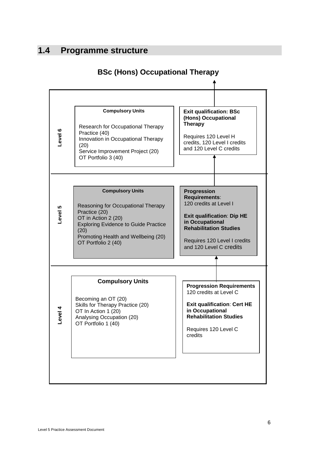# <span id="page-7-0"></span>**1.4 Programme structure**



# **BSc (Hons) Occupational Therapy**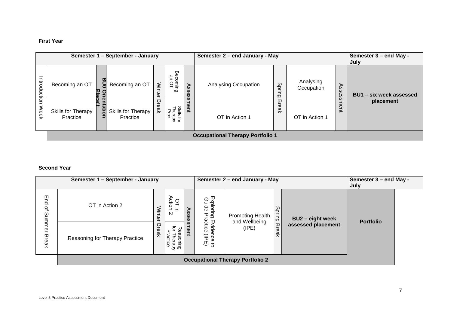## **First Year**

|               | Semester 1 - September - January        |         |                                |               | Semester 2 - end January - May |          |                      | Semester 3 - end May -<br>July |                         |                  |                         |
|---------------|-----------------------------------------|---------|--------------------------------|---------------|--------------------------------|----------|----------------------|--------------------------------|-------------------------|------------------|-------------------------|
| Introdu       | Becoming an OT                          | ω<br>ΟŊ | Becoming an OT                 | <b>Winter</b> | Beco<br>an<br>Dring<br>OL      | ⋗        | Analysing Occupation | Spri<br>っ<br>$\circ$           | Analysing<br>Occupation | Ass<br><b>GS</b> | BU1 - six week assessed |
| idion<br>Week | Skills for Therapy<br>Practice          | 틺       | Skills for Therapy<br>Practice | <b>Break</b>  | Skills for<br>Therapy<br>Prac. | g<br>ent | OT in Action 1       | ᢍ<br>-<br>eak                  | OT in Action 1          | ഗ<br>ent         | placement               |
|               | <b>Occupational Therapy Portfolio 1</b> |         |                                |               |                                |          |                      |                                |                         |                  |                         |

## **Second Year**

|                 | Semester 1 - September - January        |       |                                              |                |                                                                     | Semester 2 - end January - May |              |                    | Semester 3 - end May -<br>July |  |
|-----------------|-----------------------------------------|-------|----------------------------------------------|----------------|---------------------------------------------------------------------|--------------------------------|--------------|--------------------|--------------------------------|--|
| End<br>٩        | OT in Action 2                          | Winte | OT in<br>Action<br>$\exists$<br>$\mathbf{v}$ | As<br>Se<br>Ô, | Exploring<br>Guide Pra                                              | <b>Promoting Health</b>        | Spring       | BU2 - eight week   | <b>Portfolio</b>               |  |
| Summer<br>Break | Reasoning for Therapy Practice          | Break | ਠ<br>공<br>Practice<br>sasoning<br>Therapy    | sment          | actice<br>Evider<br>DCG<br>$\widehat{\overline{\sigma}}$<br>ー。<br>こ | and Wellbeing<br>$($ IPE $)$   | <b>Break</b> | assessed placement |                                |  |
|                 | <b>Occupational Therapy Portfolio 2</b> |       |                                              |                |                                                                     |                                |              |                    |                                |  |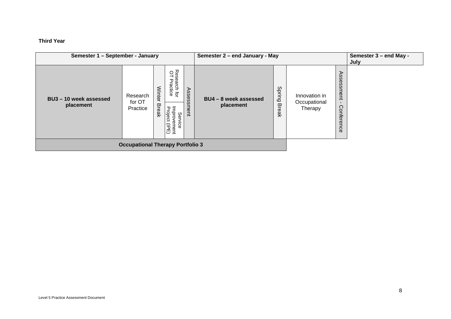## **Third Year**

| Semester 1 - September - January        |                                |                               |                                                                                |                | Semester 2 - end January - May   |                         |                                          | Semester 3 - end May -<br>July |  |
|-----------------------------------------|--------------------------------|-------------------------------|--------------------------------------------------------------------------------|----------------|----------------------------------|-------------------------|------------------------------------------|--------------------------------|--|
| BU3 - 10 week assessed<br>placement     | Research<br>for OT<br>Practice | <b>Winter</b><br><b>Break</b> | Res<br>OL<br>search for<br>Practice<br>Improvement<br>Project (IPE)<br>Service | Asses<br>sment | BU4-8 week assessed<br>placement | Sprin<br>6<br>ω<br>reak | Innovation in<br>Occupational<br>Therapy | Assessment<br>Conference       |  |
| <b>Occupational Therapy Portfolio 3</b> |                                |                               |                                                                                |                |                                  |                         |                                          |                                |  |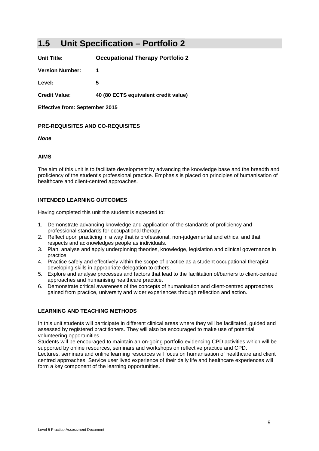# <span id="page-10-0"></span>**1.5 Unit Specification – Portfolio 2**

**Unit Title: Occupational Therapy Portfolio 2**

**Version Number: 1**

**Level: 5**

**Credit Value: 40 (80 ECTS equivalent credit value)**

**Effective from: September 2015**

### **PRE-REQUISITES AND CO-REQUISITES**

*None*

#### **AIMS**

The aim of this unit is to facilitate development by advancing the knowledge base and the breadth and proficiency of the student's professional practice. Emphasis is placed on principles of humanisation of healthcare and client-centred approaches.

### **INTENDED LEARNING OUTCOMES**

Having completed this unit the student is expected to:

- 1. Demonstrate advancing knowledge and application of the standards of proficiency and professional standards for occupational therapy.
- 2. Reflect upon practicing in a way that is professional, non-judgemental and ethical and that respects and acknowledges people as individuals.
- 3. Plan, analyse and apply underpinning theories, knowledge, legislation and clinical governance in practice.
- 4. Practice safely and effectively within the scope of practice as a student occupational therapist developing skills in appropriate delegation to others.
- 5. Explore and analyse processes and factors that lead to the facilitation of/barriers to client-centred approaches and humanising healthcare practice.
- 6. Demonstrate critical awareness of the concepts of humanisation and client-centred approaches gained from practice, university and wider experiences through reflection and action.

### **LEARNING AND TEACHING METHODS**

In this unit students will participate in different clinical areas where they will be facilitated, guided and assessed by registered practitioners. They will also be encouraged to make use of potential volunteering opportunities.

Students will be encouraged to maintain an on-going portfolio evidencing CPD activities which will be supported by online resources, seminars and workshops on reflective practice and CPD.

Lectures, seminars and online learning resources will focus on humanisation of healthcare and client centred approaches. Service user lived experience of their daily life and healthcare experiences will form a key component of the learning opportunities.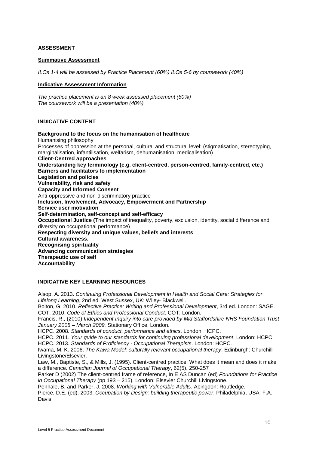## **ASSESSMENT**

#### **Summative Assessment**

*ILOs 1-4 will be assessed by Practice Placement (60%) ILOs 5-6 by coursework (40%)*

### **Indicative Assessment Information**

*The practice placement is an 8 week assessed placement (60%) The coursework will be a presentation (40%)*

#### **INDICATIVE CONTENT**

**Background to the focus on the humanisation of healthcare** Humanising philosophy Processes of oppression at the personal, cultural and structural level: (stigmatisation, stereotyping, marginalisation, infantilisation, welfarism, dehumanisation, medicalisation). **Client-Centred approaches Understanding key terminology (e.g. client-centred, person-centred, family-centred, etc.) Barriers and facilitators to implementation Legislation and policies Vulnerability, risk and safety Capacity and Informed Consent** Anti-oppressive and non-discriminatory practice **Inclusion, Involvement, Advocacy, Empowerment and Partnership Service user motivation Self-determination, self-concept and self-efficacy Occupational Justice (**The impact of inequality, poverty, exclusion, identity, social difference and diversity on occupational performance) **Respecting diversity and unique values, beliefs and interests Cultural awareness. Recognising spirituality Advancing communication strategies Therapeutic use of self Accountability**

## **INDICATIVE KEY LEARNING RESOURCES**

Alsop, A. 2013. *Continuing Professional Development in Health and Social Care: Strategies for Lifelong Learning*, 2nd ed. West Sussex, UK: Wiley- Blackwell. Bolton, G. 2010. *Reflective Practice: Writing and Professional Development*, 3rd ed. London: SAGE. COT. 2010. *Code of Ethics and Professional Conduct*. COT: London. Francis, R., (2010) *Independent Inquiry into care provided by Mid Staffordshire NHS Foundation Trust January 2005 – March 2009.* Stationary Office, London. HCPC. 2008. *Standards of conduct, performance and ethics*. London: HCPC. HCPC. 2011. *Your guide to our standards for continuing professional development*. London: HCPC. HCPC. 2013. *Standards of Proficiency - Occupational Therapists*. London: HCPC. Iwama, M. K. 2006. *The Kawa Model: culturally relevant occupational therapy*. Edinburgh: Churchill Livingstone/Elsevier. Law, M., Baptiste, S., & Mills, J. (1995). Client-centred practice: What does it mean and does it make a difference. *Canadian Journal of Occupational Therapy*, 62(5), 250-257 Parker D (2002) The client-centred frame of reference, In E AS Duncan (ed) *Foundations for Practice in Occupational Therapy* (pp 193 – 215). London: Elsevier Churchill Livingstone.

Penhale, B. and Parker, J. 2008. *Working with Vulnerable Adults*. Abingdon: Routledge. Pierce, D.E. (ed). 2003. *Occupation by Design: building therapeutic power*. Philadelphia, USA: F.A.

Davis.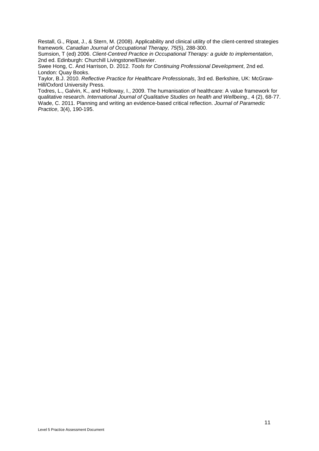Restall, G., Ripat, J., & Stern, M. (2008). Applicability and clinical utility of the client-centred strategies framework. *Canadian Journal of Occupational Therapy, 75*(5), 288-300.

Sumsion, T (ed) 2006. *Client-Centred Practice in Occupational Therapy: a guide to implementation*, 2nd ed. Edinburgh: Churchill Livingstone/Elsevier.

Swee Hong, C. And Harrison, D. 2012. *Tools for Continuing Professional Development*, 2nd ed. London: Quay Books.

Taylor, B.J. 2010. *Reflective Practice for Healthcare Professionals*, 3rd ed. Berkshire, UK: McGraw-Hill/Oxford University Press.

Todres, L., Galvin, K., and Holloway, I., 2009. The humanisation of healthcare: A value framework for qualitative research. *International Journal of Qualitative Studies on health and Wellbeing.,* 4 (2), 68-77. Wade, C. 2011. Planning and writing an evidence-based critical reflection. *Journal of Paramedic Practice*, 3(4), 190-195.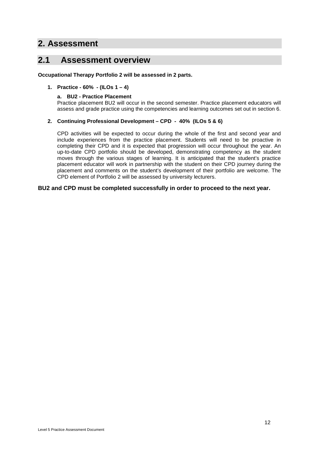# <span id="page-13-0"></span>**2. Assessment**

# <span id="page-13-1"></span>**2.1 Assessment overview**

**Occupational Therapy Portfolio 2 will be assessed in 2 parts.**

## **1. Practice - 60% - (ILOs 1 – 4)**

## **a. BU2 - Practice Placement**

Practice placement BU2 will occur in the second semester. Practice placement educators will assess and grade practice using the competencies and learning outcomes set out in section 6.

## **2. Continuing Professional Development – CPD - 40% (ILOs 5 & 6)**

CPD activities will be expected to occur during the whole of the first and second year and include experiences from the practice placement. Students will need to be proactive in completing their CPD and it is expected that progression will occur throughout the year. An up-to-date CPD portfolio should be developed, demonstrating competency as the student moves through the various stages of learning. It is anticipated that the student's practice placement educator will work in partnership with the student on their CPD journey during the placement and comments on the student's development of their portfolio are welcome. The CPD element of Portfolio 2 will be assessed by university lecturers.

## **BU2 and CPD must be completed successfully in order to proceed to the next year.**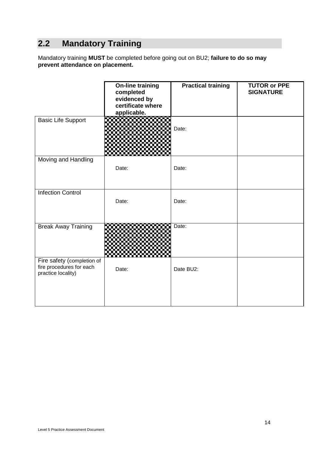# <span id="page-15-0"></span>**2.2 Mandatory Training**

Mandatory training **MUST** be completed before going out on BU2; **failure to do so may prevent attendance on placement.** 

|                                                                              | <b>On-line training</b><br>completed<br>evidenced by<br>certificate where<br>applicable. | <b>Practical training</b> | <b>TUTOR or PPE</b><br><b>SIGNATURE</b> |
|------------------------------------------------------------------------------|------------------------------------------------------------------------------------------|---------------------------|-----------------------------------------|
| <b>Basic Life Support</b>                                                    |                                                                                          | Date:                     |                                         |
| Moving and Handling                                                          | Date:                                                                                    | Date:                     |                                         |
| <b>Infection Control</b>                                                     | Date:                                                                                    | Date:                     |                                         |
| <b>Break Away Training</b>                                                   |                                                                                          | Date:                     |                                         |
| Fire safety (completion of<br>fire procedures for each<br>practice locality) | Date:                                                                                    | Date BU2:                 |                                         |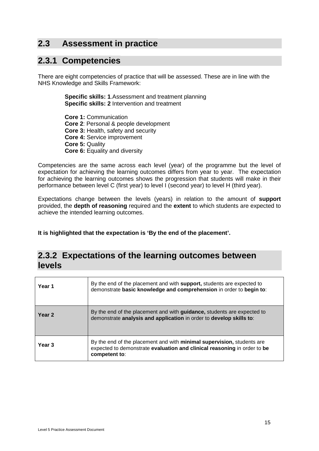# <span id="page-16-0"></span>**2.3 Assessment in practice**

# <span id="page-16-1"></span>**2.3.1 Competencies**

There are eight competencies of practice that will be assessed. These are in line with the NHS Knowledge and Skills Framework:

> **Specific skills: 1**.Assessment and treatment planning **Specific skills: 2** Intervention and treatment

**Core 1:** Communication **Core 2**: Personal & people development **Core 3:** Health, safety and security **Core 4: Service improvement Core 5:** Quality **Core 6:** Equality and diversity

Competencies are the same across each level (year) of the programme but the level of expectation for achieving the learning outcomes differs from year to year. The expectation for achieving the learning outcomes shows the progression that students will make in their performance between level C (first year) to level I (second year) to level H (third year).

Expectations change between the levels (years) in relation to the amount of **support** provided, the **depth of reasoning** required and the **extent** to which students are expected to achieve the intended learning outcomes.

**It is highlighted that the expectation is 'By the end of the placement'.**

# <span id="page-16-2"></span>**2.3.2 Expectations of the learning outcomes between levels**

| Year 1            | By the end of the placement and with <b>support</b> , students are expected to<br>demonstrate basic knowledge and comprehension in order to begin to:                       |
|-------------------|-----------------------------------------------------------------------------------------------------------------------------------------------------------------------------|
| Year <sub>2</sub> | By the end of the placement and with <b>guidance</b> , students are expected to<br>demonstrate analysis and application in order to develop skills to:                      |
| Year 3            | By the end of the placement and with <b>minimal supervision</b> , students are<br>expected to demonstrate evaluation and clinical reasoning in order to be<br>competent to: |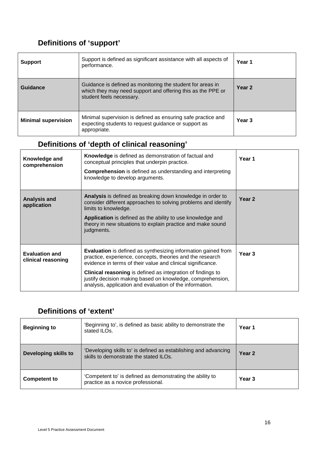# **Definitions of 'support'**

| <b>Support</b>             | Support is defined as significant assistance with all aspects of<br>performance.                                                     | Year 1            |
|----------------------------|--------------------------------------------------------------------------------------------------------------------------------------|-------------------|
| Guidance                   | Year 2                                                                                                                               |                   |
| <b>Minimal supervision</b> | Minimal supervision is defined as ensuring safe practice and<br>expecting students to request guidance or support as<br>appropriate. | Year <sub>3</sub> |

# **Definitions of 'depth of clinical reasoning'**

| Knowledge and<br>comprehension              | Knowledge is defined as demonstration of factual and<br>conceptual principles that underpin practice.<br><b>Comprehension</b> is defined as understanding and interpreting<br>knowledge to develop arguments.                                                                                                                                                                                    | Year 1            |
|---------------------------------------------|--------------------------------------------------------------------------------------------------------------------------------------------------------------------------------------------------------------------------------------------------------------------------------------------------------------------------------------------------------------------------------------------------|-------------------|
| <b>Analysis and</b><br>application          | Analysis is defined as breaking down knowledge in order to<br>consider different approaches to solving problems and identify<br>limits to knowledge.<br>Application is defined as the ability to use knowledge and<br>theory in new situations to explain practice and make sound<br>judgments.                                                                                                  | Year <sub>2</sub> |
| <b>Evaluation and</b><br>clinical reasoning | <b>Evaluation</b> is defined as synthesizing information gained from<br>practice, experience, concepts, theories and the research<br>evidence in terms of their value and clinical significance.<br><b>Clinical reasoning</b> is defined as integration of findings to<br>justify decision making based on knowledge, comprehension,<br>analysis, application and evaluation of the information. | Year <sub>3</sub> |

# **Definitions of 'extent'**

| <b>Beginning to</b>         | 'Beginning to', is defined as basic ability to demonstrate the<br>stated ILOs.                            | Year 1 |
|-----------------------------|-----------------------------------------------------------------------------------------------------------|--------|
| <b>Developing skills to</b> | 'Developing skills to' is defined as establishing and advancing<br>skills to demonstrate the stated ILOs. | Year 2 |
| <b>Competent to</b>         | 'Competent to' is defined as demonstrating the ability to<br>practice as a novice professional.           | Year 3 |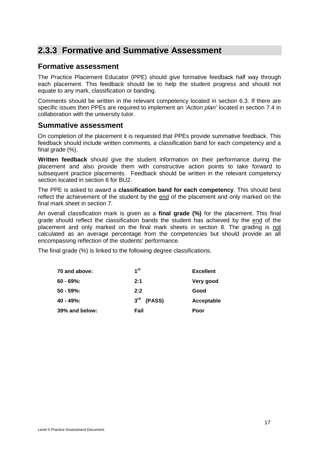# <span id="page-18-0"></span>**2.3.3 Formative and Summative Assessment**

## **Formative assessment**

The Practice Placement Educator (PPE) should give formative feedback half way through each placement. This feedback should be to help the student progress and should not equate to any mark, classification or banding.

Comments should be written in the relevant competency located in section 6.3. If there are specific issues then PPEs are required to implement an *'Action plan'* located in section 7.4 in collaboration with the university tutor.

## **Summative assessment**

On completion of the placement it is requested that PPEs provide summative feedback. This feedback should include written comments, a classification band for each competency and a final grade (%).

**Written feedback** should give the student information on their performance during the placement and also provide them with constructive action points to take forward to subsequent practice placements. Feedback should be written in the relevant competency section located in section 6 for BU2.

The PPE is asked to award a **classification band for each competency**. This should best reflect the achievement of the student by the end of the placement and only marked on the final mark sheet in section 7.

An overall classification mark is given as a **final grade (%)** for the placement. This final grade should reflect the classification bands the student has achieved by the end of the placement and only marked on the final mark sheets in section 8. The grading is not calculated as an average percentage from the competencies but should provide an all encompassing reflection of the students' performance.

The final grade (%) is linked to the following degree classifications.

| 70 and above:  | 1 <sup>st</sup> | <b>Excellent</b> |
|----------------|-----------------|------------------|
| 60 - 69%:      | 2:1             | Very good        |
| 50 - 59%:      | 2:2             | Good             |
| 40 - 49%:      | $3rd$ (PASS)    | Acceptable       |
| 39% and below: | Fail            | Poor             |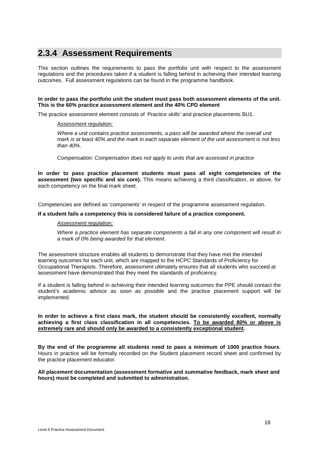# <span id="page-19-0"></span>**2.3.4 Assessment Requirements**

This section outlines the requirements to pass the portfolio unit with respect to the assessment regulations and the procedures taken if a student is falling behind in achieving their intended learning outcomes. Full assessment regulations can be found in the programme handbook.

#### **In order to pass the portfolio unit the student must pass both assessment elements of the unit. This is the 60% practice assessment element and the 40% CPD element**

The practice assessment element consists of *'Practice skills'* and practice placements BU1.

#### *Assessment regulation:*

*Where a unit contains practice assessments, a pass will be awarded where the overall unit mark is at least 40% and the mark in each separate element of the unit assessment is not less than 40%.*

*Compensation: Compensation does not apply to units that are assessed in practice*

**In order to pass practice placement students must pass all eight competencies of the assessment (two specific and six core).** This means achieving a third classification, or above, for each competency on the final mark sheet.

Competencies are defined as 'components' in respect of the programme assessment regulation.

#### **If a student fails a competency this is considered failure of a practice component.**

#### *Assessment regulation:*

*Where a practice element has separate components a fail in any one component will result in a mark of 0% being awarded for that element.* 

The assessment structure enables all students to demonstrate that they have met the intended learning outcomes for each unit, which are mapped to the HCPC Standards of Proficiency for Occupational Therapists. Therefore, assessment ultimately ensures that all students who succeed at assessment have demonstrated that they meet the standards of proficiency.

If a student is falling behind in achieving their intended learning outcomes the PPE should contact the student's academic advisor as soon as possible and the practice placement support will be implemented.

#### **In order to achieve a first class mark, the student should be consistently excellent, normally achieving a first class classification in all competencies. To be awarded 80% or above is extremely rare and should only be awarded to a consistently exceptional student.**

**By the end of the programme all students need to pass a minimum of 1000 practice hours**. Hours in practice will be formally recorded on the Student placement record sheet and confirmed by the practice placement educator.

#### **All placement documentation (assessment formative and summative feedback, mark sheet and hours) must be completed and submitted to administration.**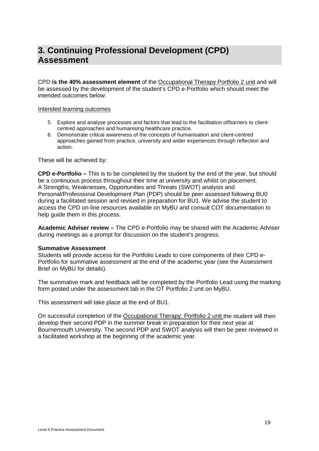# <span id="page-20-0"></span>**3. Continuing Professional Development (CPD) Assessment**

CPD **is the 40% assessment element** of the Occupational Therapy Portfolio 2 unit and will be assessed by the development of the student's CPD e-Portfolio which should meet the intended outcomes below:

### Intended learning outcomes

- 5. Explore and analyse processes and factors that lead to the facilitation of/barriers to clientcentred approaches and humanising healthcare practice.
- 6. Demonstrate critical awareness of the concepts of humanisation and client-centred approaches gained from practice, university and wider experiences through reflection and action.

These will be achieved by:

**CPD e-Portfolio –** This is to be completed by the student by the end of the year, but should be a continuous process throughout their time at university and whilst on placement. A Strengths, Weaknesses, Opportunities and Threats (SWOT) analysis and Personal/Professional Development Plan (PDP) should be peer assessed following BU0 during a facilitated session and revised in preparation for BU1. We advise the student to access the CPD on-line resources available on MyBU and consult COT documentation to help guide them in this process.

**Academic Adviser review –** The CPD e-Portfolio may be shared with the Academic Adviser during meetings as a prompt for discussion on the student's progress.

### **Summative Assessment**

Students will provide access for the Portfolio Leads to core components of their CPD e-Portfolio for summative assessment at the end of the academic year (see the Assessment Brief on MyBU for details).

The summative mark and feedback will be completed by the Portfolio Lead using the marking form posted under the assessment tab in the OT Portfolio 2 unit on MyBU.

This assessment will take place at the end of BU1.

On successful completion of the Occupational Therapy: Portfolio 2 unit the student will then develop their second PDP in the summer break in preparation for their next year at Bournemouth University. The second PDP and SWOT analysis will then be peer reviewed in a facilitated workshop at the beginning of the academic year.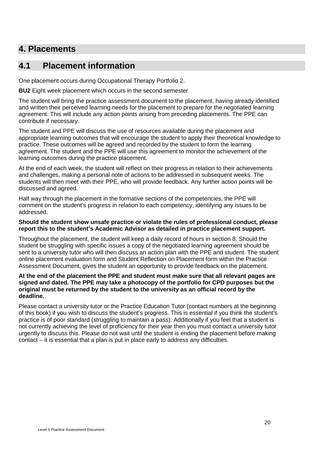# <span id="page-21-0"></span>**4. Placements**

# <span id="page-21-1"></span>**4.1 Placement information**

One placement occurs during Occupational Therapy Portfolio 2.

**BU2** Eight week placement which occurs in the second semester

The student will bring the practice assessment document to the placement, having already identified and written their perceived learning needs for the placement to prepare for the negotiated learning agreement. This will include any action points arising from preceding placements. The PPE can contribute if necessary.

The student and PPE will discuss the use of resources available during the placement and appropriate learning outcomes that will encourage the student to apply their theoretical knowledge to practice. These outcomes will be agreed and recorded by the student to form the learning agreement. The student and the PPE will use this agreement to monitor the achievement of the learning outcomes during the practice placement.

At the end of each week, the student will reflect on their progress in relation to their achievements and challenges, making a personal note of actions to be addressed in subsequent weeks. The students will then meet with their PPE, who will provide feedback. Any further action points will be discussed and agreed.

Half way through the placement in the formative sections of the competencies, the PPE will comment on the student's progress in relation to each competency, identifying any issues to be addressed.

## **Should the student show unsafe practice or violate the rules of professional conduct, please report this to the student's Academic Advisor as detailed in practice placement support.**

Throughout the placement, the student will keep a daily record of hours in section 8. Should the student be struggling with specific issues a copy of the negotiated learning agreement should be sent to a university tutor who will then discuss an action plan with the PPE and student. The student online placement evaluation form and Student Reflection on Placement form within the Practice Assessment Document, gives the student an opportunity to provide feedback on the placement.

## **At the end of the placement the PPE and student must make sure that all relevant pages are signed and dated. The PPE may take a photocopy of the portfolio for CPD purposes but the original must be returned by the student to the university as an official record by the deadline.**

Please contact a university tutor or the Practice Education Tutor (contact numbers at the beginning of this book) if you wish to discuss the student's progress. This is essential if you think the student's practice is of poor standard (struggling to maintain a pass). Additionally if you feel that a student is not currently achieving the level of proficiency for their year then you must contact a university tutor urgently to discuss this. Please do not wait until the student is ending the placement before making contact – it is essential that a plan is put in place early to address any difficulties.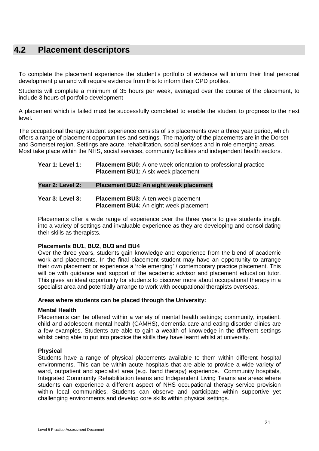# <span id="page-22-0"></span>**4.2 Placement descriptors**

To complete the placement experience the student's portfolio of evidence will inform their final personal development plan and will require evidence from this to inform their CPD profiles.

Students will complete a minimum of 35 hours per week, averaged over the course of the placement, to include 3 hours of portfolio development

A placement which is failed must be successfully completed to enable the student to progress to the next level.

The occupational therapy student experience consists of six placements over a three year period, which offers a range of placement opportunities and settings. The majority of the placements are in the Dorset and Somerset region. Settings are acute, rehabilitation, social services and in role emerging areas. Most take place within the NHS, social services, community facilities and independent health sectors.

| Year 1: Level 1: | <b>Placement BU0:</b> A one week orientation to professional practice<br><b>Placement BU1:</b> A six week placement |
|------------------|---------------------------------------------------------------------------------------------------------------------|
| Year 2: Level 2: | Placement BU2: An eight week placement                                                                              |
| Year 3: Level 3: | <b>Placement BU3:</b> A ten week placement<br><b>Placement BU4:</b> An eight week placement                         |

Placements offer a wide range of experience over the three years to give students insight into a variety of settings and invaluable experience as they are developing and consolidating their skills as therapists.

## **Placements BU1, BU2, BU3 and BU4**

Over the three years, students gain knowledge and experience from the blend of academic work and placements. In the final placement student may have an opportunity to arrange their own placement or experience a 'role emerging' / contemporary practice placement. This will be with guidance and support of the academic advisor and placement education tutor. This gives an ideal opportunity for students to discover more about occupational therapy in a specialist area and potentially arrange to work with occupational therapists overseas.

### **Areas where students can be placed through the University:**

### **Mental Health**

Placements can be offered within a variety of mental health settings; community, inpatient, child and adolescent mental health (CAMHS), dementia care and eating disorder clinics are a few examples. Students are able to gain a wealth of knowledge in the different settings whilst being able to put into practice the skills they have learnt whilst at university.

### **Physical**

Students have a range of physical placements available to them within different hospital environments. This can be within acute hospitals that are able to provide a wide variety of ward, outpatient and specialist area (e.g. hand therapy) experience. Community hospitals, Integrated Community Rehabilitation teams and Independent Living Teams are areas where students can experience a different aspect of NHS occupational therapy service provision within local communities. Students can observe and participate within supportive yet challenging environments and develop core skills within physical settings.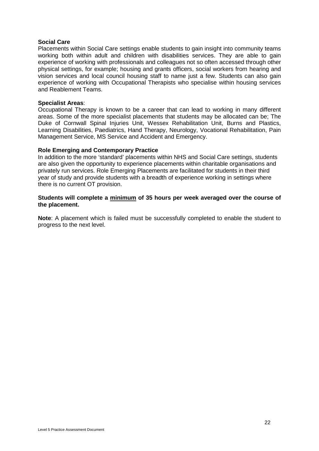## **Social Care**

Placements within Social Care settings enable students to gain insight into community teams working both within adult and children with disabilities services. They are able to gain experience of working with professionals and colleagues not so often accessed through other physical settings, for example; housing and grants officers, social workers from hearing and vision services and local council housing staff to name just a few. Students can also gain experience of working with Occupational Therapists who specialise within housing services and Reablement Teams.

## **Specialist Areas**:

Occupational Therapy is known to be a career that can lead to working in many different areas. Some of the more specialist placements that students may be allocated can be; The Duke of Cornwall Spinal Injuries Unit, Wessex Rehabilitation Unit, Burns and Plastics, Learning Disabilities, Paediatrics, Hand Therapy, Neurology, Vocational Rehabilitation, Pain Management Service, MS Service and Accident and Emergency.

### **Role Emerging and Contemporary Practice**

In addition to the more 'standard' placements within NHS and Social Care settings, students are also given the opportunity to experience placements within charitable organisations and privately run services. Role Emerging Placements are facilitated for students in their third year of study and provide students with a breadth of experience working in settings where there is no current OT provision.

## **Students will complete a minimum of 35 hours per week averaged over the course of the placement.**

**Note**: A placement which is failed must be successfully completed to enable the student to progress to the next level.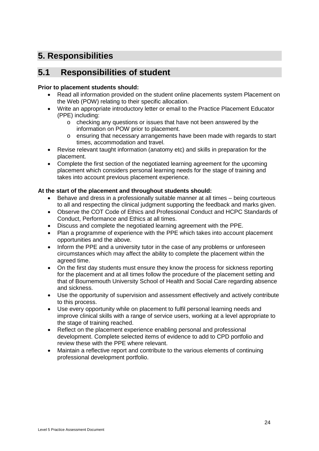# <span id="page-25-0"></span>**5. Responsibilities**

# <span id="page-25-1"></span>**5.1 Responsibilities of student**

## **Prior to placement students should:**

- Read all information provided on the student online placements system Placement on the Web (POW) relating to their specific allocation.
- Write an appropriate introductory letter or email to the Practice Placement Educator (PPE) including:
	- o checking any questions or issues that have not been answered by the information on POW prior to placement.
	- o ensuring that necessary arrangements have been made with regards to start times, accommodation and travel.
- Revise relevant taught information (anatomy etc) and skills in preparation for the placement.
- Complete the first section of the negotiated learning agreement for the upcoming placement which considers personal learning needs for the stage of training and takes into account previous placement experience.

## **At the start of the placement and throughout students should:**

- Behave and dress in a professionally suitable manner at all times being courteous to all and respecting the clinical judgment supporting the feedback and marks given.
- Observe the COT Code of Ethics and Professional Conduct and HCPC Standards of Conduct, Performance and Ethics at all times.
- Discuss and complete the negotiated learning agreement with the PPE.
- Plan a programme of experience with the PPE which takes into account placement opportunities and the above.
- Inform the PPE and a university tutor in the case of any problems or unforeseen circumstances which may affect the ability to complete the placement within the agreed time.
- On the first day students must ensure they know the process for sickness reporting for the placement and at all times follow the procedure of the placement setting and that of Bournemouth University School of Health and Social Care regarding absence and sickness.
- Use the opportunity of supervision and assessment effectively and actively contribute to this process.
- Use every opportunity while on placement to fulfil personal learning needs and improve clinical skills with a range of service users, working at a level appropriate to the stage of training reached.
- Reflect on the placement experience enabling personal and professional development. Complete selected items of evidence to add to CPD portfolio and review these with the PPE where relevant.
- Maintain a reflective report and contribute to the various elements of continuing professional development portfolio.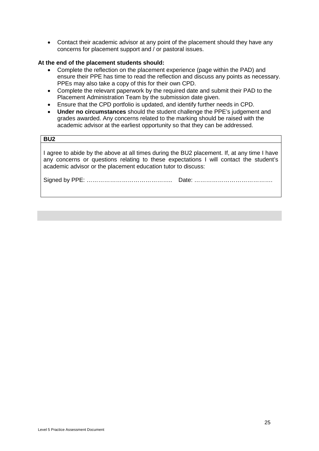• Contact their academic advisor at any point of the placement should they have any concerns for placement support and / or pastoral issues.

## **At the end of the placement students should:**

- Complete the reflection on the placement experience (page within the PAD) and ensure their PPE has time to read the reflection and discuss any points as necessary. PPEs may also take a copy of this for their own CPD.
- Complete the relevant paperwork by the required date and submit their PAD to the Placement Administration Team by the submission date given.
- Ensure that the CPD portfolio is updated, and identify further needs in CPD.
- **Under no circumstances** should the student challenge the PPE's judgement and grades awarded. Any concerns related to the marking should be raised with the academic advisor at the earliest opportunity so that they can be addressed.

| BU <sub>2</sub>                                                                                                                                                                                                                                       |  |  |
|-------------------------------------------------------------------------------------------------------------------------------------------------------------------------------------------------------------------------------------------------------|--|--|
| I agree to abide by the above at all times during the BU2 placement. If, at any time I have<br>any concerns or questions relating to these expectations I will contact the student's<br>academic advisor or the placement education tutor to discuss: |  |  |
|                                                                                                                                                                                                                                                       |  |  |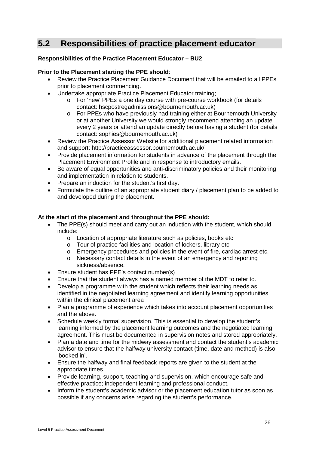# <span id="page-27-0"></span>**5.2 Responsibilities of practice placement educator**

## **Responsibilities of the Practice Placement Educator – BU2**

## **Prior to the Placement starting the PPE should**:

- Review the Practice Placement Guidance Document that will be emailed to all PPEs prior to placement commencing.
- Undertake appropriate Practice Placement Educator training;
	- o For 'new' PPEs a one day course with pre-course workbook (for details contact: hscpostregadmissions@bournemouth.ac.uk)
	- o For PPEs who have previously had training either at Bournemouth University or at another University we would strongly recommend attending an update every 2 years or attend an update directly before having a student (for details contact: sophies@bournemouth.ac.uk)
- Review the Practice Assessor Website for additional placement related information and support: http://practiceassessor.bournemouth.ac.uk/
- Provide placement information for students in advance of the placement through the Placement Environment Profile and in response to introductory emails.
- Be aware of equal opportunities and anti-discriminatory policies and their monitoring and implementation in relation to students.
- Prepare an induction for the student's first day.
- Formulate the outline of an appropriate student diary / placement plan to be added to and developed during the placement.

## **At the start of the placement and throughout the PPE should:**

- The PPE(s) should meet and carry out an induction with the student, which should include:
	- o Location of appropriate literature such as policies, books etc
	- o Tour of practice facilities and location of lockers, library etc
	- o Emergency procedures and policies in the event of fire, cardiac arrest etc.
	- o Necessary contact details in the event of an emergency and reporting sickness/absence.
- Ensure student has PPE's contact number(s)
- Ensure that the student always has a named member of the MDT to refer to.
- Develop a programme with the student which reflects their learning needs as identified in the negotiated learning agreement and identify learning opportunities within the clinical placement area
- Plan a programme of experience which takes into account placement opportunities and the above.
- Schedule weekly formal supervision. This is essential to develop the student's learning informed by the placement learning outcomes and the negotiated learning agreement. This must be documented in supervision notes and stored appropriately.
- Plan a date and time for the midway assessment and contact the student's academic advisor to ensure that the halfway university contact (time, date and method) is also 'booked in'.
- Ensure the halfway and final feedback reports are given to the student at the appropriate times.
- Provide learning, support, teaching and supervision, which encourage safe and effective practice; independent learning and professional conduct.
- Inform the student's academic advisor or the placement education tutor as soon as possible if any concerns arise regarding the student's performance.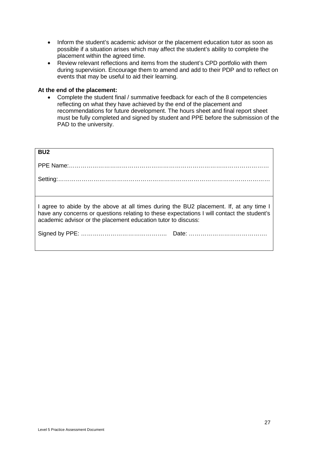- Inform the student's academic advisor or the placement education tutor as soon as possible if a situation arises which may affect the student's ability to complete the placement within the agreed time.
- Review relevant reflections and items from the student's CPD portfolio with them during supervision. Encourage them to amend and add to their PDP and to reflect on events that may be useful to aid their learning.

## **At the end of the placement:**

• Complete the student final / summative feedback for each of the 8 competencies reflecting on what they have achieved by the end of the placement and recommendations for future development. The hours sheet and final report sheet must be fully completed and signed by student and PPE before the submission of the PAD to the university.

| BU <sub>2</sub>                                                                                                                                                                                                                                       |  |  |
|-------------------------------------------------------------------------------------------------------------------------------------------------------------------------------------------------------------------------------------------------------|--|--|
|                                                                                                                                                                                                                                                       |  |  |
|                                                                                                                                                                                                                                                       |  |  |
|                                                                                                                                                                                                                                                       |  |  |
| I agree to abide by the above at all times during the BU2 placement. If, at any time I<br>have any concerns or questions relating to these expectations I will contact the student's<br>academic advisor or the placement education tutor to discuss: |  |  |
|                                                                                                                                                                                                                                                       |  |  |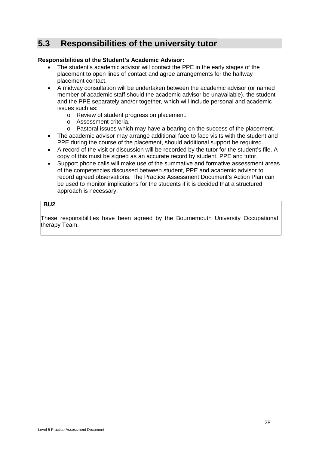# <span id="page-29-0"></span>**5.3 Responsibilities of the university tutor**

## **Responsibilities of the Student's Academic Advisor:**

- The student's academic advisor will contact the PPE in the early stages of the placement to open lines of contact and agree arrangements for the halfway placement contact.
- A midway consultation will be undertaken between the academic advisor (or named member of academic staff should the academic advisor be unavailable), the student and the PPE separately and/or together, which will include personal and academic issues such as:
	- o Review of student progress on placement.
	- o Assessment criteria.
	- o Pastoral issues which may have a bearing on the success of the placement.
- The academic advisor may arrange additional face to face visits with the student and PPE during the course of the placement, should additional support be required.
- A record of the visit or discussion will be recorded by the tutor for the student's file. A copy of this must be signed as an accurate record by student, PPE and tutor.
- Support phone calls will make use of the summative and formative assessment areas of the competencies discussed between student, PPE and academic advisor to record agreed observations. The Practice Assessment Document's Action Plan can be used to monitor implications for the students if it is decided that a structured approach is necessary.

## **BU2**

These responsibilities have been agreed by the Bournemouth University Occupational therapy Team.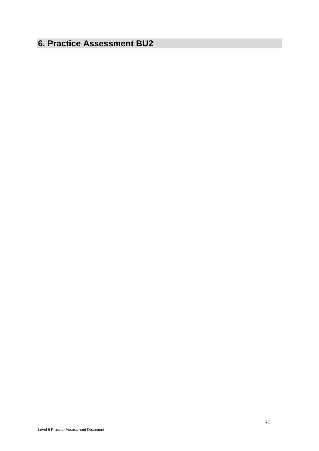# <span id="page-31-0"></span>**6. Practice Assessment BU2**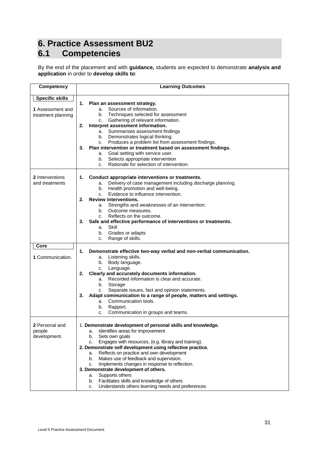# <span id="page-32-1"></span><span id="page-32-0"></span>**6. Practice Assessment BU2 6.1 Competencies**

By the end of the placement and with **guidance,** students are expected to demonstrate **analysis and application** in order to **develop skills to**:

| Competency             | <b>Learning Outcomes</b>                                                        |
|------------------------|---------------------------------------------------------------------------------|
| <b>Specific skills</b> |                                                                                 |
|                        | 1.<br>Plan an assessment strategy.                                              |
| 1 Assessment and       | a. Sources of information.                                                      |
| treatment planning     | b. Techniques selected for assessment                                           |
|                        | Gathering of relevant information.<br>C.                                        |
|                        | Interpret assessment information.<br>2.                                         |
|                        | a. Summarises assessment findings                                               |
|                        | b. Demonstrates logical thinking.                                               |
|                        | Produces a problem list from assessment findings.<br>C.                         |
|                        | Plan intervention or treatment based on assessment findings.<br>3.              |
|                        | a. Goal setting with service user.                                              |
|                        | b. Selects appropriate intervention<br>Rationale for selection of intervention. |
|                        | C.                                                                              |
| 2 Interventions        | Conduct appropriate interventions or treatments.<br>1.                          |
| and treatments         | a. Delivery of case management including discharge planning.                    |
|                        | b. Health promotion and well-being.                                             |
|                        | Evidence to influence intervention.<br>C.                                       |
|                        | <b>Review interventions.</b><br>2.                                              |
|                        | a. Strengths and weaknesses of an intervention.                                 |
|                        | b. Outcome measures.                                                            |
|                        | Reflects on the outcome.<br>C.                                                  |
|                        | Safe and effective performance of interventions or treatments.<br>3.            |
|                        | a. Skill                                                                        |
|                        | b. Grades or adapts                                                             |
|                        | Range of skills.<br>c.                                                          |
| Core                   |                                                                                 |
|                        | 1.<br>Demonstrate effective two-way verbal and non-verbal communication.        |
| 1 Communication.       | Listening skills.<br>a.                                                         |
|                        | Body language.<br>b.                                                            |
|                        | Language.<br>c.                                                                 |
|                        | Clearly and accurately documents information.<br>2.                             |
|                        | a. Recorded information is clear and accurate.                                  |
|                        | b.<br>Storage                                                                   |
|                        | Separate issues, fact and opinion statements.<br>c.                             |
|                        | Adapt communication to a range of people, matters and settings.<br>3.           |
|                        | a. Communication tools.                                                         |
|                        | Rapport.<br>b.                                                                  |
|                        | Communication in groups and teams.<br>с.                                        |
| 2 Personal and         | 1. Demonstrate development of personal skills and knowledge.                    |
| people                 | Identifies areas for improvement<br>a.                                          |
| development.           | Sets own goals<br>b.                                                            |
|                        | Engages with resources, (e.g. library and training).<br>c.                      |
|                        | 2. Demonstrate self development using reflective practice.                      |
|                        | Reflects on practice and own development<br>а.                                  |
|                        | Makes use of feedback and supervision.<br>b.                                    |
|                        | Implements changes in response to reflection.<br>C.                             |
|                        | 3. Demonstrate development of others.                                           |
|                        | Supports others<br>а.                                                           |
|                        | Facilitates skills and knowledge of others<br>b.                                |
|                        | Understands others learning needs and preferences<br>c.                         |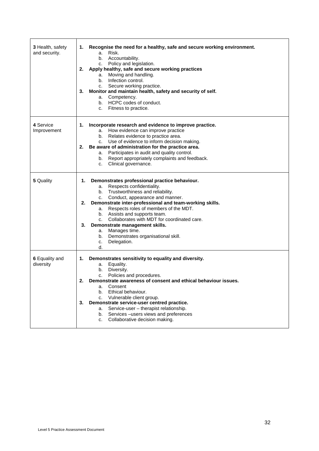| 3 Health, safety<br>and security. | Recognise the need for a healthy, safe and secure working environment.<br>1.<br>Risk.<br>a.<br>b. Accountability.<br>c. Policy and legislation.<br>Apply healthy, safe and secure working practices<br>2.<br>Moving and handling.<br>а.<br>Infection control.<br>b.<br>c. Secure working practice.<br>Monitor and maintain health, safety and security of self.<br>3.<br>a. Competency.<br>b. HCPC codes of conduct.<br>c. Fitness to practice.                                                                 |
|-----------------------------------|-----------------------------------------------------------------------------------------------------------------------------------------------------------------------------------------------------------------------------------------------------------------------------------------------------------------------------------------------------------------------------------------------------------------------------------------------------------------------------------------------------------------|
| 4 Service<br>Improvement          | Incorporate research and evidence to improve practice.<br>1.<br>a. How evidence can improve practice<br>b. Relates evidence to practice area.<br>c. Use of evidence to inform decision making.<br>Be aware of administration for the practice area.<br>2.<br>a. Participates in audit and quality control.<br>Report appropriately complaints and feedback.<br>b.<br>Clinical governance.<br>C.                                                                                                                 |
| 5 Quality                         | Demonstrates professional practice behaviour.<br>1.<br>a. Respects confidentiality.<br>Trustworthiness and reliability.<br>b.<br>Conduct, appearance and manner.<br>C.<br>Demonstrate inter-professional and team-working skills.<br>2.<br>a. Respects roles of members of the MDT.<br>b. Assists and supports team.<br>Collaborates with MDT for coordinated care.<br>C.<br>Demonstrate management skills.<br>3.<br>Manages time.<br>а.<br>Demonstrates organisational skill.<br>b.<br>Delegation.<br>c.<br>d. |
| 6 Equality and<br>diversity       | Demonstrates sensitivity to equality and diversity.<br>1.<br>Equality.<br>a.<br>Diversity.<br>b.<br>Policies and procedures.<br>c.<br>2.<br>Demonstrate awareness of consent and ethical behaviour issues.<br>Consent<br>a.<br>Ethical behaviour.<br>b.<br>Vulnerable client group.<br>c.<br>Demonstrate service-user centred practice.<br>3.<br>Service-user - therapist relationship.<br>a.<br>Services-users views and preferences<br>b.<br>Collaborative decision making.<br>c.                             |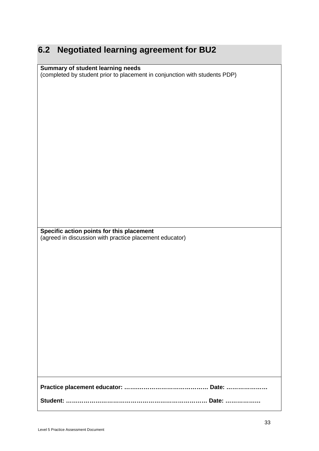# <span id="page-34-0"></span>**6.2 Negotiated learning agreement for BU2**

## **Summary of student learning needs**

(completed by student prior to placement in conjunction with students PDP)

**Specific action points for this placement** (agreed in discussion with practice placement educator)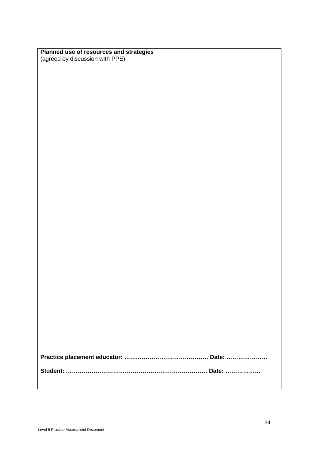| Planned use of resources and strategies |
|-----------------------------------------|
| (agreed by discussion with PPE)         |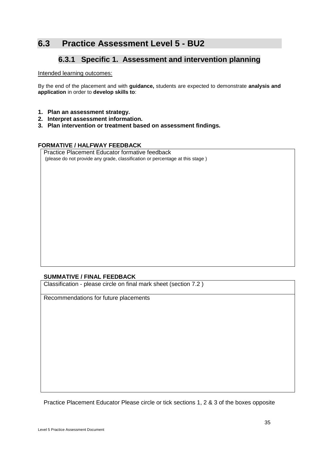## **6.3 Practice Assessment Level 5 - BU2**

### **6.3.1 Specific 1. Assessment and intervention planning**

#### Intended learning outcomes:

By the end of the placement and with **guidance,** students are expected to demonstrate **analysis and application** in order to **develop skills to**:

- **1. Plan an assessment strategy.**
- **2. Interpret assessment information.**
- **3. Plan intervention or treatment based on assessment findings.**

#### **FORMATIVE / HALFWAY FEEDBACK**

Practice Placement Educator formative feedback (please do not provide any grade, classification or percentage at this stage )

#### **SUMMATIVE / FINAL FEEDBACK**

Classification - please circle on final mark sheet (section 7.2 )

Recommendations for future placements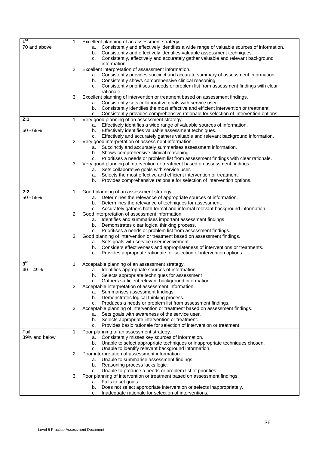| 1 <sup>st</sup> | Excellent planning of an assessment strategy.<br>1.                                                                                                         |
|-----------------|-------------------------------------------------------------------------------------------------------------------------------------------------------------|
| 70 and above    | Consistently and effectively identifies a wide range of valuable sources of information.<br>a.                                                              |
|                 | Consistently and effectively identifies valuable assessment techniques.<br>b.                                                                               |
|                 | Consistently, effectively and accurately gather valuable and relevant background<br>c.                                                                      |
|                 | information.                                                                                                                                                |
|                 | Excellent interpretation of assessment information.<br>2.                                                                                                   |
|                 | Consistently provides succinct and accurate summary of assessment information.<br>a.                                                                        |
|                 | Consistently shows comprehensive clinical reasoning.<br>b.                                                                                                  |
|                 | Consistently prioritises a needs or problem list from assessment findings with clear<br>c.                                                                  |
|                 | rationale.                                                                                                                                                  |
|                 | Excellent planning of intervention or treatment based on assessment findings.<br>З.                                                                         |
|                 | Consistently sets collaborative goals with service user.<br>a.<br>Consistently identifies the most effective and efficient intervention or treatment.<br>b. |
|                 | Consistently provides comprehensive rationale for selection of intervention options.<br>c.                                                                  |
| 2:1             | Very good planning of an assessment strategy.<br>1.                                                                                                         |
|                 | Effectively identifies a wide range of valuable sources of information.<br>а.                                                                               |
| $60 - 69%$      | Effectively identifies valuable assessment techniques.<br>b.                                                                                                |
|                 | Effectively and accurately gathers valuable and relevant background information.<br>c.                                                                      |
|                 | Very good interpretation of assessment information.<br>2.                                                                                                   |
|                 | a. Succinctly and accurately summarises assessment information.                                                                                             |
|                 | Shows comprehensive clinical reasoning.<br>b.                                                                                                               |
|                 | Prioritises a needs or problem list from assessment findings with clear rationale.<br>c.                                                                    |
|                 | Very good planning of intervention or treatment based on assessment findings.<br>З.                                                                         |
|                 | Sets collaborative goals with service user.<br>a.                                                                                                           |
|                 | Selects the most effective and efficient intervention or treatment.<br>a.                                                                                   |
|                 | Provides comprehensive rationale for selection of intervention options.<br>b.                                                                               |
|                 |                                                                                                                                                             |
| 2:2             | Good planning of an assessment strategy.<br>1.                                                                                                              |
| $50 - 59%$      | Determines the relevance of appropriate sources of information.<br>а.                                                                                       |
|                 | Determines the relevance of techniques for assessment.<br>b.                                                                                                |
|                 | Accurately gathers both formal and informal relevant background information.<br>C.                                                                          |
|                 | Good interpretation of assessment information.<br>2.                                                                                                        |
|                 | Identifies and summarises important assessment findings<br>a.                                                                                               |
|                 | Demonstrates clear logical thinking process.<br>b.                                                                                                          |
|                 | Prioritises a needs or problem list from assessment findings.<br>C.<br>Good planning of intervention or treatment based on assessment findings.<br>3.       |
|                 | Sets goals with service user involvement.<br>a.                                                                                                             |
|                 | Considers effectiveness and appropriateness of interventions or treatments.<br>b.                                                                           |
|                 | Provides appropriate rationale for selection of intervention options.<br>c.                                                                                 |
|                 |                                                                                                                                                             |
| $3^{\text{rd}}$ | Acceptable planning of an assessment strategy.<br>1.                                                                                                        |
| $40 - 49%$      | Identifies appropriate sources of information.<br>а.                                                                                                        |
|                 | b. Selects appropriate techniques for assessment                                                                                                            |
|                 | Gathers sufficient relevant background information.<br>c.                                                                                                   |
|                 | Acceptable interpretation of assessment information.<br>2.                                                                                                  |
|                 | Summarises assessment findings<br>a.                                                                                                                        |
|                 | Demonstrates logical thinking process.<br>b.                                                                                                                |
|                 | Produces a needs or problem list from assessment findings.<br>c.                                                                                            |
|                 | Acceptable planning of intervention or treatment based on assessment findings.<br>З.                                                                        |
|                 | Sets goals with awareness of the service user.<br>a.                                                                                                        |
|                 | Selects appropriate intervention or treatment.<br>b.                                                                                                        |
|                 | Provides basic rationale for selection of intervention or treatment.<br>c.                                                                                  |
| Fail            | Poor planning of an assessment strategy.<br>1.                                                                                                              |
| 39% and below   | Consistently misses key sources of information.<br>а.                                                                                                       |
|                 | Unable to select appropriate techniques or inappropriate techniques chosen.<br>b.                                                                           |
|                 | Unable to identify relevant background information.<br>c.<br>Poor interpretation of assessment information.<br>2.                                           |
|                 | Unable to summarise assessment findings<br>а.                                                                                                               |
|                 | Reasoning process lacks logic.<br>b.                                                                                                                        |
|                 | Unable to produce a needs or problem list of priorities.<br>c.                                                                                              |
|                 | Poor planning of intervention or treatment based on assessment findings.<br>З.                                                                              |
|                 | Fails to set goals.<br>а.                                                                                                                                   |
|                 | Does not select appropriate intervention or selects inappropriately.<br>b.                                                                                  |
|                 | Inadequate rationale for selection of interventions.<br>c.                                                                                                  |
|                 |                                                                                                                                                             |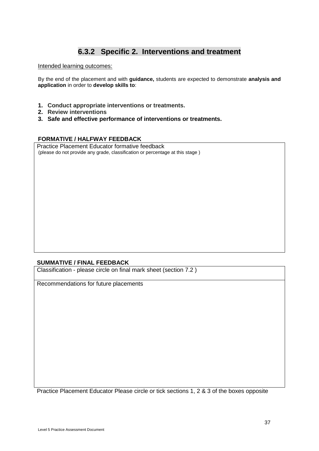## **6.3.2 Specific 2. Interventions and treatment**

Intended learning outcomes:

By the end of the placement and with **guidance,** students are expected to demonstrate **analysis and application** in order to **develop skills to**:

- **1. Conduct appropriate interventions or treatments.**
- **2. Review interventions**
- **3. Safe and effective performance of interventions or treatments.**

#### **FORMATIVE / HALFWAY FEEDBACK**

Practice Placement Educator formative feedback (please do not provide any grade, classification or percentage at this stage )

#### **SUMMATIVE / FINAL FEEDBACK**

Classification - please circle on final mark sheet (section 7.2 )

Recommendations for future placements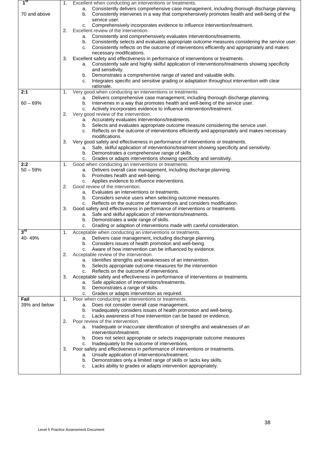| 1 <sup>st</sup> | 1. | Excellent when conducting an interventions or treatments.                                                                                                                         |
|-----------------|----|-----------------------------------------------------------------------------------------------------------------------------------------------------------------------------------|
|                 |    | Consistently delivers comprehensive case management, including thorough discharge planning.<br>а.                                                                                 |
| 70 and above    |    | Consistently intervenes in a way that comprehensively promotes health and well-being of the<br>b.                                                                                 |
|                 |    | service user.                                                                                                                                                                     |
|                 |    | Comprehensively incorporates evidence to influence intervention/treatment.<br>c.                                                                                                  |
|                 | 2. | Excellent review of the intervention.                                                                                                                                             |
|                 |    | Consistently and comprehensively evaluates interventions/treatments.<br>а.<br>Consistently selects and evaluates appropriate outcome measures considering the service user.<br>b. |
|                 |    | Consistently reflects on the outcome of interventions efficiently and appropriately and makes<br>c.                                                                               |
|                 |    | necessary modifications.                                                                                                                                                          |
|                 | 3. | Excellent safety and effectiveness in performance of interventions or treatments.                                                                                                 |
|                 |    | Consistently safe and highly skilful application of interventions/treatments showing specificity<br>а.                                                                            |
|                 |    | and sensitivity.                                                                                                                                                                  |
|                 |    | Demonstrates a comprehensive range of varied and valuable skills.<br>b.                                                                                                           |
|                 |    | Integrates specific and sensitive grading or adaptation throughout intervention with clear<br>c.                                                                                  |
| 2:1             | 1. | rationale.<br>Very good when conducting an interventions or treatments.                                                                                                           |
|                 |    | Delivers comprehensive case management, including thorough discharge planning.<br>а.                                                                                              |
| $60 - 69%$      |    | Intervenes in a way that promotes health and well-being of the service user.<br>b.                                                                                                |
|                 |    | Actively incorporates evidence to influence intervention/treatment.<br>c.                                                                                                         |
|                 | 2. | Very good review of the intervention.                                                                                                                                             |
|                 |    | a. Accurately evaluates interventions/treatments.                                                                                                                                 |
|                 |    | Selects and evaluates appropriate outcome measure considering the service user.<br>b.                                                                                             |
|                 |    | Reflects on the outcome of interventions efficiently and appropriately and makes necessary<br>c.                                                                                  |
|                 | 3. | modifications.<br>Very good safety and effectiveness in performance of interventions or treatments.                                                                               |
|                 |    | Safe, skilful application of interventions/treatment showing specificity and sensitivity.<br>а.                                                                                   |
|                 |    | Demonstrates a comprehensive range of skills.<br>b.                                                                                                                               |
|                 |    | Grades or adapts interventions showing specificity and sensitivity.<br>C.                                                                                                         |
| 2:2             | 1. | Good when conducting an interventions or treatments.                                                                                                                              |
| $50 - 59%$      |    | Delivers overall case management, including discharge planning.<br>а.                                                                                                             |
|                 |    | Promotes health and well-being.<br>b.                                                                                                                                             |
|                 |    | Applies evidence to influence interventions.<br>c.<br>Good review of the intervention.                                                                                            |
|                 | 2. | Evaluates an interventions or treatments.<br>а.                                                                                                                                   |
|                 |    | Considers service users when selecting outcome measures.<br>b.                                                                                                                    |
|                 |    | Reflects on the outcome of interventions and considers modification.<br>c.                                                                                                        |
|                 | 3. | Good safety and effectiveness in performance of interventions or treatments.                                                                                                      |
|                 |    | Safe and skilful application of interventions/treatments.<br>а.                                                                                                                   |
|                 |    | Demonstrates a wide range of skills.<br>b.                                                                                                                                        |
|                 |    | Grading or adaption of interventions made with careful consideration.<br>c.                                                                                                       |
| $3^{\text{rd}}$ | 1. | Acceptable when conducting an interventions or treatments.                                                                                                                        |
| 40-49%          |    | a. Delivers case management, including discharge planning.<br>Considers issues of health promotion and well-being.                                                                |
|                 |    | b.<br>Aware of how intervention can be influenced by evidence.<br>c.                                                                                                              |
|                 | 2. | Acceptable review of the intervention.                                                                                                                                            |
|                 |    | Identifies strengths and weaknesses of an intervention.<br>а.                                                                                                                     |
|                 |    | Selects appropriate outcome measures for the intervention<br>b.                                                                                                                   |
|                 |    | Reflects on the outcome of interventions.<br>c.                                                                                                                                   |
|                 | 3. | Acceptable safety and effectiveness in performance of interventions or treatments.                                                                                                |
|                 |    | Safe application of interventions/treatments.<br>а.                                                                                                                               |
|                 |    | Demonstrates a range of skills.<br>b.                                                                                                                                             |
| Fail            | 1. | Grades or adapts intervention as required.<br>c.<br>Poor when conducting an interventions or treatments.                                                                          |
| 39% and below   |    | Does not consider overall case management.<br>а.                                                                                                                                  |
|                 |    | Inadequately considers issues of health promotion and well-being.<br>b.                                                                                                           |
|                 |    | Lacks awareness of how intervention can be based on evidence.<br>c.                                                                                                               |
|                 | 2. | Poor review of the intervention.                                                                                                                                                  |
|                 |    | Inadequate or inaccurate identification of strengths and weaknesses of an<br>а.                                                                                                   |
|                 |    | intervention/treatment.                                                                                                                                                           |
|                 |    | Does not select appropriate or selects inappropriate outcome measures<br>b.                                                                                                       |
|                 | 3. | Inadequately to the outcome of interventions.<br>C.<br>Poor safety and effectiveness in performance of interventions or treatments.                                               |
|                 |    | Unsafe application of interventions/treatment.<br>а.                                                                                                                              |
|                 |    | Demonstrates only a limited range of skills or lacks key skills.<br>b.                                                                                                            |
|                 |    | Lacks ability to grades or adapts intervention appropriately.<br>c.                                                                                                               |
|                 |    |                                                                                                                                                                                   |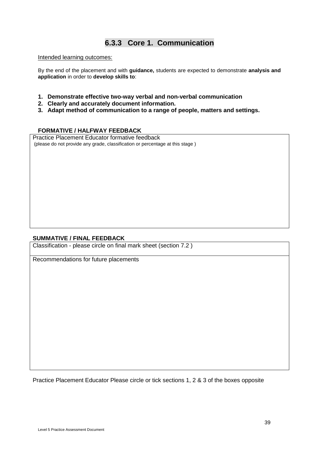### **6.3.3 Core 1. Communication**

#### Intended learning outcomes:

By the end of the placement and with **guidance,** students are expected to demonstrate **analysis and application** in order to **develop skills to**:

- **1. Demonstrate effective two-way verbal and non-verbal communication**
- **2. Clearly and accurately document information.**
- **3. Adapt method of communication to a range of people, matters and settings.**

#### **FORMATIVE / HALFWAY FEEDBACK**

Practice Placement Educator formative feedback (please do not provide any grade, classification or percentage at this stage )

#### **SUMMATIVE / FINAL FEEDBACK**

Classification - please circle on final mark sheet (section 7.2 )

Recommendations for future placements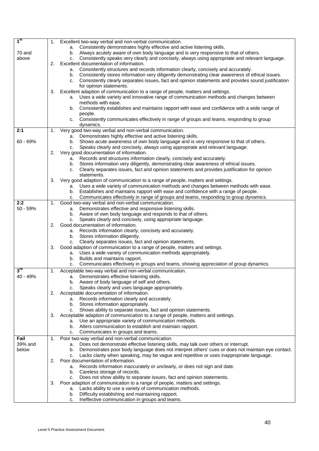| 1 <sup>st</sup>   | 1. | Excellent two-way verbal and non-verbal communication.                                                                                                                                                              |
|-------------------|----|---------------------------------------------------------------------------------------------------------------------------------------------------------------------------------------------------------------------|
|                   |    | a. Consistently demonstrates highly effective and active listening skills.                                                                                                                                          |
| 70 and            |    | b. Always acutely aware of own body language and is very responsive to that of others.                                                                                                                              |
| above             |    | Consistently speaks very clearly and concisely, always using appropriate and relevant language.<br>C.                                                                                                               |
|                   | 2. | Excellent documentation of information.                                                                                                                                                                             |
|                   |    | Consistently structures and records information clearly, concisely and accurately.<br>а.                                                                                                                            |
|                   |    | Consistently stores information very diligently demonstrating clear awareness of ethical issues.<br>b.<br>Consistently clearly separates issues, fact and opinion statements and provides sound justification<br>C. |
|                   |    | for opinion statements.                                                                                                                                                                                             |
|                   | 3. | Excellent adaption of communication to a range of people, matters and settings.                                                                                                                                     |
|                   |    | Uses a wide variety and innovative range of communication methods and changes between<br>а.                                                                                                                         |
|                   |    | methods with ease.                                                                                                                                                                                                  |
|                   |    | Consistently establishes and maintains rapport with ease and confidence with a wide range of<br>b.                                                                                                                  |
|                   |    | people.                                                                                                                                                                                                             |
|                   |    | Consistently communicates effectively in range of groups and teams, responding to group<br>C.                                                                                                                       |
|                   |    | dynamics.                                                                                                                                                                                                           |
| 2:1               | 1. | Very good two-way verbal and non-verbal communication.                                                                                                                                                              |
| 60 - 69%          |    | Demonstrates highly effective and active listening skills.<br>а.<br>Shows acute awareness of own body language and is very responsive to that of others.                                                            |
|                   |    | b.<br>Speaks clearly and concisely, always using appropriate and relevant language.<br>C.                                                                                                                           |
|                   | 2. | Very good documentation of information.                                                                                                                                                                             |
|                   |    | Records and structures information clearly, concisely and accurately.<br>а.                                                                                                                                         |
|                   |    | b. Stores information very diligently, demonstrating clear awareness of ethical issues.                                                                                                                             |
|                   |    | Clearly separates issues, fact and opinion statements and provides justification for opinion<br>C.                                                                                                                  |
|                   |    | statements.                                                                                                                                                                                                         |
|                   | 3. | Very good adaption of communication to a range of people, matters and settings.                                                                                                                                     |
|                   |    | a. Uses a wide variety of communication methods and changes between methods with ease.                                                                                                                              |
|                   |    | Establishes and maintains rapport with ease and confidence with a range of people.<br>b.                                                                                                                            |
|                   |    | Communicates effectively in range of groups and teams, responding to group dynamics.<br>C.                                                                                                                          |
| 2:2<br>50 - 59%   | 1. | Good two-way verbal and non-verbal communication.<br>a. Demonstrates effective and responsive listening skills.                                                                                                     |
|                   |    | b. Aware of own body language and responds to that of others.                                                                                                                                                       |
|                   |    | Speaks clearly and concisely, using appropriate language.<br>C.                                                                                                                                                     |
|                   | 2. | Good documentation of information.                                                                                                                                                                                  |
|                   |    | a. Records information clearly, concisely and accurately.                                                                                                                                                           |
|                   |    | b. Stores information diligently.                                                                                                                                                                                   |
|                   |    | Clearly separates issues, fact and opinion statements.<br>C.                                                                                                                                                        |
|                   | 3. | Good adaption of communication to a range of people, matters and settings.                                                                                                                                          |
|                   |    | a. Uses a wide variety of communication methods appropriately.                                                                                                                                                      |
|                   |    | Builds and maintains rapport.<br>b.                                                                                                                                                                                 |
|                   |    | Communicates effectively in groups and teams, showing appreciation of group dynamics.<br>c.                                                                                                                         |
| $3^{\mathsf{rd}}$ | 1. | Acceptable two-way verbal and non-verbal communication.                                                                                                                                                             |
| 40 - 49%          |    | Demonstrates effective listening skills.<br>а.                                                                                                                                                                      |
|                   |    | b. Aware of body language of self and others.<br>Speaks clearly and uses language appropriately.                                                                                                                    |
|                   | 2. | C.<br>Acceptable documentation of information.                                                                                                                                                                      |
|                   |    | a. Records information clearly and accurately.                                                                                                                                                                      |
|                   |    | b. Stores information appropriately.                                                                                                                                                                                |
|                   |    | Shows ability to separate issues, fact and opinion statements.<br>C.                                                                                                                                                |
|                   | 3. | Acceptable adaption of communication to a range of people, matters and settings.                                                                                                                                    |
|                   |    | a. Use an appropriate variety of communication methods.                                                                                                                                                             |
|                   |    | b. Alters communication to establish and maintain rapport.                                                                                                                                                          |
|                   |    | Communicates in groups and teams.<br>c.                                                                                                                                                                             |
| Fail              | 1. | Poor two-way verbal and non-verbal communication.                                                                                                                                                                   |
| 39% and           |    | Does not demonstrate effective listening skills, may talk over others or interrupt.<br>а.                                                                                                                           |
| below             |    | Demonstrates poor body language does not interpret others' cues or does not maintain eye contact.<br>b.                                                                                                             |
|                   | 2. | Lacks clarity when speaking, may be vague and repetitive or uses inappropriate language.<br>C.<br>Poor documentation of information.                                                                                |
|                   |    | Records information inaccurately or unclearly, or does not sign and date.<br>а.                                                                                                                                     |
|                   |    | b. Careless storage of records.                                                                                                                                                                                     |
|                   |    | Does not show ability to separate issues, fact and opinion statements.<br>C.                                                                                                                                        |
|                   | 3. | Poor adaption of communication to a range of people, matters and settings.                                                                                                                                          |
|                   |    | Lacks ability to use a variety of communication methods.<br>а.                                                                                                                                                      |
|                   |    | Difficulty establishing and maintaining rapport.<br>b.                                                                                                                                                              |
|                   |    | Ineffective communication in groups and teams.<br>c.                                                                                                                                                                |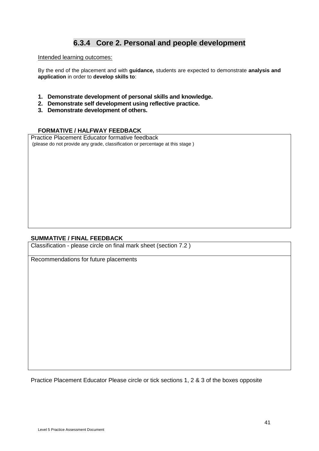### **6.3.4 Core 2. Personal and people development**

#### Intended learning outcomes:

By the end of the placement and with **guidance,** students are expected to demonstrate **analysis and application** in order to **develop skills to**:

- **1. Demonstrate development of personal skills and knowledge.**
- **2. Demonstrate self development using reflective practice.**
- **3. Demonstrate development of others.**

#### **FORMATIVE / HALFWAY FEEDBACK**

Practice Placement Educator formative feedback (please do not provide any grade, classification or percentage at this stage )

#### **SUMMATIVE / FINAL FEEDBACK**

Classification - please circle on final mark sheet (section 7.2 )

Recommendations for future placements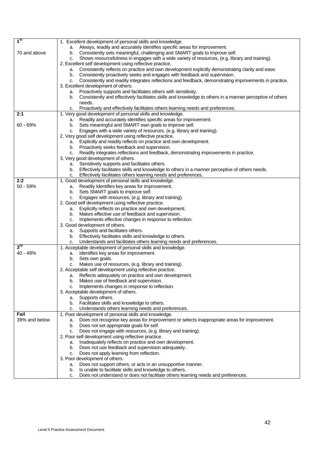| 1 <sup>st</sup> | 1. Excellent development of personal skills and knowledge.                                                                                      |
|-----------------|-------------------------------------------------------------------------------------------------------------------------------------------------|
|                 | a. Always, readily and accurately identifies specific areas for improvement.                                                                    |
| 70 and above    | Consistently sets meaningful, challenging and SMART goals to improve self.<br>b.                                                                |
|                 | Shows resourcefulness in engages with a wide variety of resources, (e.g. library and training).<br>с.                                           |
|                 | 2. Excellent self development using reflective practice.                                                                                        |
|                 | Consistently reflects on practice and own development explicitly demonstrating clarity and ease.<br>а.                                          |
|                 | Consistently proactively seeks and engages with feedback and supervision.<br>b.                                                                 |
|                 | Consistently and readily integrates reflections and feedback, demonstrating improvements in practice.<br>c.                                     |
|                 | 3. Excellent development of others.                                                                                                             |
|                 | Proactively supports and facilitates others with sensitivity.<br>а.                                                                             |
|                 | Consistently and effectively facilitates skills and knowledge to others in a manner perceptive of others<br>b.                                  |
|                 | needs.                                                                                                                                          |
|                 |                                                                                                                                                 |
| 2:1             | c. Proactively and effectively facilitates others learning needs and preferences.<br>1. Very good development of personal skills and knowledge. |
|                 |                                                                                                                                                 |
|                 | Readily and accurately identifies specific areas for improvement.<br>а.                                                                         |
| $60 - 69%$      | Sets meaningful and SMART own goals to improve self.<br>b.                                                                                      |
|                 | Engages with a wide variety of resources, (e.g. library and training).<br>c.                                                                    |
|                 | 2. Very good self development using reflective practice.                                                                                        |
|                 | Explicitly and readily reflects on practice and own development.<br>а.                                                                          |
|                 | b. Proactively seeks feedback and supervision.                                                                                                  |
|                 | c. Readily integrates reflections and feedback, demonstrating improvements in practice.                                                         |
|                 | 3. Very good development of others.                                                                                                             |
|                 | Sensitively supports and facilitates others.<br>а.                                                                                              |
|                 | Effectively facilitates skills and knowledge to others in a manner perceptive of others needs.<br>b.                                            |
|                 | Effectively facilitates others learning needs and preferences.<br>c.                                                                            |
| 2:2             | 1. Good development of personal skills and knowledge.                                                                                           |
| $50 - 59%$      | Readily Identifies key areas for improvement.<br>а.                                                                                             |
|                 | Sets SMART goals to improve self.<br>b.                                                                                                         |
|                 | Engages with resources, (e.g. library and training).<br>c.                                                                                      |
|                 | 2. Good self development using reflective practice.                                                                                             |
|                 | Explicitly reflects on practice and own development.<br>а.                                                                                      |
|                 | Makes effective use of feedback and supervision.<br>b.                                                                                          |
|                 | Implements effective changes in response to reflection.<br>c.                                                                                   |
|                 | 3. Good development of others.                                                                                                                  |
|                 | a. Supports and facilitates others.                                                                                                             |
|                 | Effectively facilitates skills and knowledge to others.<br>b.                                                                                   |
|                 | Understands and facilitates others learning needs and preferences.<br>с.                                                                        |
| 3 <sup>rd</sup> | 1. Acceptable development of personal skills and knowledge.                                                                                     |
| 40 - 49%        | Identifies key areas for improvement.<br>а.                                                                                                     |
|                 | Sets own goals.<br>b.                                                                                                                           |
|                 | Makes use of resources, (e.g. library and training).<br>с.                                                                                      |
|                 | 2. Acceptable self development using reflective practice.                                                                                       |
|                 | Reflects adequately on practice and own development.<br>а.                                                                                      |
|                 | Makes use of feedback and supervision.<br>b.                                                                                                    |
|                 | Implements changes in response to reflection.<br>c.                                                                                             |
|                 | 3. Acceptable development of others.                                                                                                            |
|                 | Supports others.<br>а.                                                                                                                          |
|                 | Facilitates skills and knowledge to others.<br>b.                                                                                               |
|                 |                                                                                                                                                 |
| Fail            | Understands others learning needs and preferences.<br>c.<br>1. Poor development of personal skills and knowledge.                               |
| 39% and below   |                                                                                                                                                 |
|                 | Does not recognise key areas for improvement or selects inappropriate areas for improvement.<br>a.                                              |
|                 | Does not set appropriate goals for self.<br>b.                                                                                                  |
|                 | Does not engage with resources, (e.g. library and training).<br>c.                                                                              |
|                 | 2. Poor self development using reflective practice.                                                                                             |
|                 | Inadequately reflects on practice and own development.<br>а.                                                                                    |
|                 | Does not use feedback and supervision adequately.<br>b.                                                                                         |
|                 | Does not apply learning from reflection.<br>c.                                                                                                  |
|                 | 3. Poor development of others.                                                                                                                  |
|                 | Does not support others, or acts in an unsupportive manner.<br>а.                                                                               |
|                 | Is unable to facilitate skills and knowledge to others.<br>b.                                                                                   |
|                 | Does not understand or does not facilitate others learning needs and preferences.<br>c.                                                         |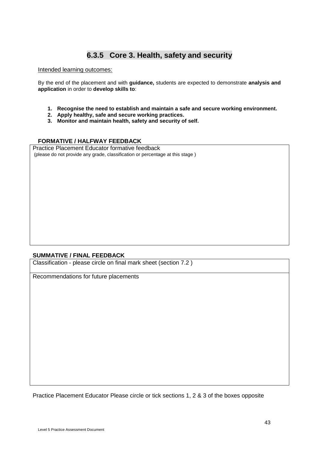## **6.3.5 Core 3. Health, safety and security**

#### Intended learning outcomes:

By the end of the placement and with **guidance,** students are expected to demonstrate **analysis and application** in order to **develop skills to**:

- **1. Recognise the need to establish and maintain a safe and secure working environment.**
- **2. Apply healthy, safe and secure working practices.**
- **3. Monitor and maintain health, safety and security of self.**

#### **FORMATIVE / HALFWAY FEEDBACK**

Practice Placement Educator formative feedback (please do not provide any grade, classification or percentage at this stage )

#### **SUMMATIVE / FINAL FEEDBACK**

Classification - please circle on final mark sheet (section 7.2 )

Recommendations for future placements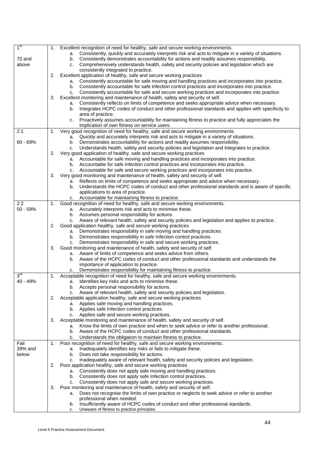| 1 <sup>st</sup> | 1. | Excellent recognition of need for healthy, safe and secure working environments.                                                                |
|-----------------|----|-------------------------------------------------------------------------------------------------------------------------------------------------|
|                 |    | a. Consistently, quickly and accurately interprets risk and acts to mitigate in a variety of situations.                                        |
| 70 and          |    | Consistently demonstrates accountability for actions and readily assumes responsibility.<br>b.                                                  |
| above           |    | c. Comprehensively understands health, safety and security policies and legislation which are                                                   |
|                 |    | consistently integrated to practice.                                                                                                            |
|                 | 2. | Excellent application of healthy, safe and secure working practices                                                                             |
|                 |    | Consistently accountable for safe moving and handling practices and incorporates into practice.<br>а.                                           |
|                 |    | b. Consistently accountable for safe infection control practices and incorporates into practice.                                                |
|                 |    | c. Consistently accountable for safe and secure working practices and incorporates into practice.                                               |
|                 | 3. | Excellent monitoring and maintenance of health, safety and security of self.                                                                    |
|                 |    | Consistently reflects on limits of competence and seeks appropriate advice when necessary.<br>а.                                                |
|                 |    | Integrates HCPC codes of conduct and other professional standards and applies with specificity to<br>b.                                         |
|                 |    | area of practice.<br>Proactively assumes accountability for maintaining fitness to practice and fully appreciates the                           |
|                 |    | c.<br>implication of own fitness on service users.                                                                                              |
| 2:1             | 1. | Very good recognition of need for healthy, safe and secure working environments.                                                                |
|                 |    | a. Quickly and accurately interprets risk and acts to mitigate in a variety of situations.                                                      |
| $60 - 69%$      |    | Demonstrates accountability for actions and readily assumes responsibility.<br>b.                                                               |
|                 |    | Understands health, safety and security policies and legislation and integrates to practice.<br>c.                                              |
|                 | 2. | Very good application of healthy, safe and secure working practices                                                                             |
|                 |    | a. Accountable for safe moving and handling practices and incorporates into practice.                                                           |
|                 |    | b. Accountable for safe infection control practices and incorporates into practice.                                                             |
|                 |    | c. Accountable for safe and secure working practices and incorporates into practice.                                                            |
|                 | 3. | Very good monitoring and maintenance of health, safety and security of self.                                                                    |
|                 |    | a. Reflects on limits of competence and seeks appropriate and advice when necessary.                                                            |
|                 |    | Understands the HCPC codes of conduct and other professional standards and is aware of specific<br>b.                                           |
|                 |    | applications to area of practice.                                                                                                               |
|                 |    | c. Accountable for maintaining fitness to practice.                                                                                             |
| 2:2             | 1. | Good recognition of need for healthy, safe and secure working environments.                                                                     |
| $50 - 59%$      |    | a. Accurately interprets risk and acts to minimise these.                                                                                       |
|                 |    | b. Assumes personal responsibility for actions.                                                                                                 |
|                 |    | c. Aware of relevant health, safety and security policies and legislation and applies to practice.                                              |
|                 | 2. | Good application healthy, safe and secure working practices                                                                                     |
|                 |    | a. Demonstrates responsibility in safe moving and handling practices.                                                                           |
|                 |    | b. Demonstrates responsibility in safe Infection control practices.<br>c. Demonstrates responsibility in safe and secure working practices.     |
|                 | 3. | Good monitoring and maintenance of health, safety and security of self.                                                                         |
|                 |    | Aware of limits of competence and seeks advice from others.<br>а.                                                                               |
|                 |    | Aware of the HCPC codes of conduct and other professional standards and understands the<br>b.                                                   |
|                 |    | importance of application to practice.                                                                                                          |
|                 |    | Demonstrates responsibility for maintaining fitness to practice.<br>c.                                                                          |
| 3 <sup>rd</sup> | 1. | Acceptable recognition of need for healthy, safe and secure working environments.                                                               |
| 40 - 49%        |    | a. Identifies key risks and acts to minimise these.                                                                                             |
|                 |    | b. Accepts personal responsibility for actions.                                                                                                 |
|                 |    | Aware of relevant health, safety and security policies and legislation.<br>C.                                                                   |
|                 |    | 2. Acceptable application healthy, safe and secure working practices                                                                            |
|                 |    | a. Applies safe moving and handling practices.                                                                                                  |
|                 |    | b. Applies safe Infection control practices.                                                                                                    |
|                 |    | c. Applies safe and secure working practices.                                                                                                   |
|                 | 3. | Acceptable monitoring and maintenance of health, safety and security of self.                                                                   |
|                 |    | a. Know the limits of own practice and when to seek advice or refer to another professional.                                                    |
|                 |    | b. Aware of the HCPC codes of conduct and other professional standards.                                                                         |
| Fail            | 1. | c. Understands the obligation to maintain fitness to practice.                                                                                  |
| 39% and         |    | Poor recognition of need for healthy, safe and secure working environments.<br>a. Inadequately identifies key risks or fails to mitigate these. |
| below           |    | Does not take responsibility for actions.<br>b.                                                                                                 |
|                 |    | Inadequately aware of relevant health, safety and security policies and legislation.<br>c.                                                      |
|                 | 2. | Poor application healthy, safe and secure working practices                                                                                     |
|                 |    | a. Consistently does not apply safe moving and handling practices.                                                                              |
|                 |    | b. Consistently does not apply safe Infection control practices.                                                                                |
|                 |    | c. Consistently does not apply safe and secure working practices.                                                                               |
|                 | 3. | Poor monitoring and maintenance of health, safety and security of self.                                                                         |
|                 |    | Does not recognise the limits of own practice or neglects to seek advice or refer to another<br>а.                                              |
|                 |    | professional when needed.                                                                                                                       |
|                 |    | Insufficiently aware of HCPC codes of conduct and other professional standards.<br>b.                                                           |
|                 |    | Unaware of fitness to practice principles.<br>c.                                                                                                |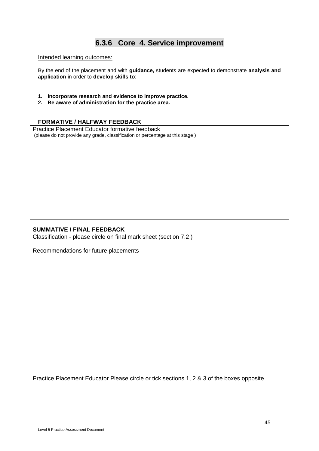### **6.3.6 Core 4. Service improvement**

#### Intended learning outcomes:

By the end of the placement and with **guidance,** students are expected to demonstrate **analysis and application** in order to **develop skills to**:

- **1. Incorporate research and evidence to improve practice.**
- **2. Be aware of administration for the practice area.**

#### **FORMATIVE / HALFWAY FEEDBACK**

Practice Placement Educator formative feedback (please do not provide any grade, classification or percentage at this stage )

#### **SUMMATIVE / FINAL FEEDBACK**

Classification - please circle on final mark sheet (section 7.2 )

Recommendations for future placements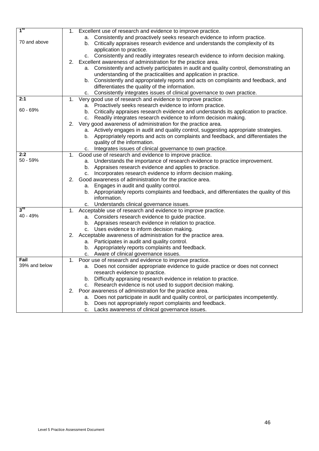| 1 <sup>st</sup>   | 1. | Excellent use of research and evidence to improve practice.                                                |
|-------------------|----|------------------------------------------------------------------------------------------------------------|
|                   |    | a. Consistently and proactively seeks research evidence to inform practice.                                |
| 70 and above      |    | Critically appraises research evidence and understands the complexity of its                               |
|                   |    | b.                                                                                                         |
|                   |    | application to practice.                                                                                   |
|                   |    | c. Consistently and readily integrates research evidence to inform decision making.                        |
|                   | 2. | Excellent awareness of administration for the practice area.                                               |
|                   |    | a. Consistently and actively participates in audit and quality control, demonstrating an                   |
|                   |    | understanding of the practicalities and application in practice.                                           |
|                   |    | b. Consistently and appropriately reports and acts on complaints and feedback, and                         |
|                   |    | differentiates the quality of the information.                                                             |
|                   |    | Consistently integrates issues of clinical governance to own practice.<br>c.                               |
| 2:1               | 1. | Very good use of research and evidence to improve practice.                                                |
|                   |    | a. Proactively seeks research evidence to inform practice.                                                 |
| $60 - 69%$        |    | b. Critically appraises research evidence and understands its application to practice.                     |
|                   |    | Readily integrates research evidence to inform decision making.<br>c.                                      |
|                   |    | 2. Very good awareness of administration for the practice area.                                            |
|                   |    | a. Actively engages in audit and quality control, suggesting appropriate strategies.                       |
|                   |    | Appropriately reports and acts on complaints and feedback, and differentiates the<br>b.                    |
|                   |    | quality of the information.                                                                                |
|                   |    | Integrates issues of clinical governance to own practice.<br>c.                                            |
| 2:2               | 1. | Good use of research and evidence to improve practice.                                                     |
| 50 - 59%          |    | a. Understands the importance of research evidence to practice improvement.                                |
|                   |    | b. Appraises research evidence and applies to practice.                                                    |
|                   |    | c. Incorporates research evidence to inform decision making.                                               |
|                   | 2. | Good awareness of administration for the practice area.                                                    |
|                   |    | a. Engages in audit and quality control.                                                                   |
|                   |    | b. Appropriately reports complaints and feedback, and differentiates the quality of this                   |
|                   |    | information.                                                                                               |
|                   |    |                                                                                                            |
| $3^{\mathsf{ra}}$ | 1. | c. Understands clinical governance issues.<br>Acceptable use of research and evidence to improve practice. |
| 40 - 49%          |    |                                                                                                            |
|                   |    | a. Considers research evidence to guide practice.                                                          |
|                   |    | Appraises research evidence in relation to practice.<br>b.                                                 |
|                   |    | c. Uses evidence to inform decision making.                                                                |
|                   | 2. | Acceptable awareness of administration for the practice area.                                              |
|                   |    | a. Participates in audit and quality control.                                                              |
|                   |    | Appropriately reports complaints and feedback.<br>b.                                                       |
|                   |    | c. Aware of clinical governance issues.                                                                    |
| Fail              | 1. | Poor use of research and evidence to improve practice.                                                     |
| 39% and below     |    | a. Does not consider appropriate evidence to guide practice or does not connect                            |
|                   |    | research evidence to practice.                                                                             |
|                   |    | b. Difficulty appraising research evidence in relation to practice.                                        |
|                   |    | c. Research evidence is not used to support decision making.                                               |
|                   | 2. | Poor awareness of administration for the practice area.                                                    |
|                   |    | Does not participate in audit and quality control, or participates incompetently.<br>а.                    |
|                   |    | Does not appropriately report complaints and feedback.<br>b.                                               |
|                   |    | Lacks awareness of clinical governance issues.<br>c.                                                       |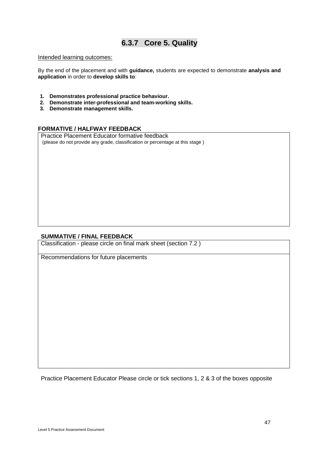### **6.3.7 Core 5. Quality**

#### Intended learning outcomes:

By the end of the placement and with **guidance,** students are expected to demonstrate **analysis and application** in order to **develop skills to**:

- **1. Demonstrates professional practice behaviour.**
- **2. Demonstrate inter-professional and team-working skills.**
- **3. Demonstrate management skills.**

#### **FORMATIVE / HALFWAY FEEDBACK**

Practice Placement Educator formative feedback (please do not provide any grade, classification or percentage at this stage )

#### **SUMMATIVE / FINAL FEEDBACK**

Classification - please circle on final mark sheet (section 7.2 )

Recommendations for future placements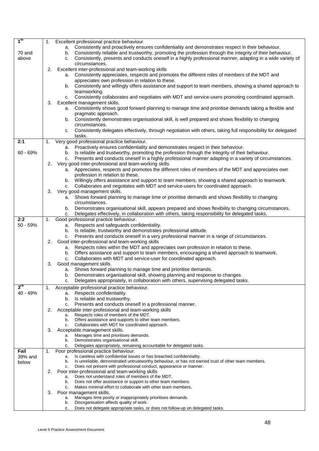| 1 <sup>st</sup> | 1. | Excellent professional practice behaviour.                                                                                                                                                                          |
|-----------------|----|---------------------------------------------------------------------------------------------------------------------------------------------------------------------------------------------------------------------|
|                 |    | a. Consistently and proactively ensures confidentiality and demonstrates respect in their behaviour.                                                                                                                |
| 70 and          |    | b. Consistently reliable and trustworthy, promoting the profession through the integrity of their behaviour.                                                                                                        |
| above           |    | Consistently, presents and conducts oneself in a highly professional manner, adapting in a wide variety of<br>C.<br>circumstances.                                                                                  |
|                 | 2. | Excellent inter-professional and team-working skills                                                                                                                                                                |
|                 |    | Consistently appreciates, respects and promotes the different roles of members of the MDT and<br>а.                                                                                                                 |
|                 |    | appreciates own profession in relation to these.                                                                                                                                                                    |
|                 |    | b. Consistently and willingly offers assistance and support to team members, showing a shared approach to<br>teamworking.                                                                                           |
|                 |    | Consistently collaborates and negotiates with MDT and service-users promoting coordinated approach.<br>C.                                                                                                           |
|                 | 3. | Excellent management skills.                                                                                                                                                                                        |
|                 |    | a. Consistently shows good forward planning to manage time and prioritise demands taking a flexible and                                                                                                             |
|                 |    | pragmatic approach.<br>Consistently demonstrates organisational skill, is well prepared and shows flexibility to changing<br>b.                                                                                     |
|                 |    | circumstances.                                                                                                                                                                                                      |
|                 |    | Consistently delegates effectively, through negotiation with others, taking full responsibility for delegated<br>c.                                                                                                 |
|                 |    | tasks.                                                                                                                                                                                                              |
| 2:1             | 1. | Very good professional practice behaviour.<br>a. Proactively ensures confidentiality and demonstrates respect in their behaviour.                                                                                   |
| $60 - 69%$      |    | Is reliable and trustworthy, promoting the profession through the integrity of their behaviour.<br>b.                                                                                                               |
|                 |    | Presents and conducts oneself in a highly professional manner adapting in a variety of circumstances.<br>C.                                                                                                         |
|                 | 2. | Very good inter-professional and team-working skills                                                                                                                                                                |
|                 |    | a. Appreciates, respects and promotes the different roles of members of the MDT and appreciates own                                                                                                                 |
|                 |    | profession in relation to these.<br>b. Willingly offers assistance and support to team members, showing a shared approach to teamwork.                                                                              |
|                 |    | c. Collaborates and negotiates with MDT and service-users for coordinated approach.                                                                                                                                 |
|                 | 3. | Very good management skills.                                                                                                                                                                                        |
|                 |    | Shows forward planning to manage time or prioritise demands and shows flexibility to changing<br>а.                                                                                                                 |
|                 |    | circumstances.                                                                                                                                                                                                      |
|                 |    | Demonstrates organisational skill, appears prepared and shows flexibility to changing circumstances.<br>b.<br>Delegates effectively, in collaboration with others, taking responsibility for delegated tasks.<br>c. |
| 2:2             | 1. | Good professional practice behaviour.                                                                                                                                                                               |
| $50 - 59%$      |    | Respects and safeguards confidentiality.<br>а.                                                                                                                                                                      |
|                 |    | Is reliable, trustworthy and demonstrates professional attitude.<br>b.                                                                                                                                              |
|                 |    | Presents and conducts oneself in a very professional manner in a range of circumstances.<br>c.                                                                                                                      |
|                 | 2. | Good inter-professional and team-working skills<br>a. Respects roles within the MDT and appreciates own profession in relation to these.                                                                            |
|                 |    | b. Offers assistance and support to team members, encouraging a shared approach to teamwork,                                                                                                                        |
|                 |    | Collaborates with MDT and service-user for coordinated approach.<br>c.                                                                                                                                              |
|                 | 3. | Good management skills.                                                                                                                                                                                             |
|                 |    | a. Shows forward planning to manage time and prioritise demands.<br>b. Demonstrates organisational skill, showing planning and response to changes.                                                                 |
|                 |    | Delegates appropriately, in collaboration with others, supervising delegated tasks.<br>c.                                                                                                                           |
| $3^{\text{ra}}$ | 1. | Acceptable professional practice behaviour.                                                                                                                                                                         |
| 40 - 49%        |    | Respects confidentiality.<br>а.                                                                                                                                                                                     |
|                 |    | Is reliable and trustworthy.<br>b.                                                                                                                                                                                  |
|                 | 2. | c. Presents and conducts oneself in a professional manner.                                                                                                                                                          |
|                 |    | Acceptable inter-professional and team-working skills<br>Respects roles of members of the MDT.<br>а.                                                                                                                |
|                 |    | Offers assistance and supports to other team members.<br>b.                                                                                                                                                         |
|                 | 3. | Collaborates with MDT for coordinated approach.<br>C.                                                                                                                                                               |
|                 |    | Acceptable management skills.<br>Manages time and prioritises demands.<br>а.                                                                                                                                        |
|                 |    | b.<br>Demonstrates organisational skill.                                                                                                                                                                            |
|                 |    | Delegates appropriately, remaining accountable for delegated tasks.<br>C.                                                                                                                                           |
| Fail<br>39% and | 1. | Poor professional practice behaviour.<br>Is careless with confidential issues or has breached confidentiality.<br>a.                                                                                                |
| below           |    | Is unreliable, demonstrated untrustworthy behaviour, or has not earned trust of other team members.<br>b.                                                                                                           |
|                 |    | Does not present with professional conduct, appearance or manner.<br>с.                                                                                                                                             |
|                 | 2. | Poor inter-professional and team-working skills<br>Does not understand roles of members of the MDT.<br>а.                                                                                                           |
|                 |    | Does not offer assistance or support to other team members.<br>b.                                                                                                                                                   |
|                 |    | Makes minimal effort to collaborate with other team members.<br>c.                                                                                                                                                  |
|                 | 3. | Poor management skills.                                                                                                                                                                                             |
|                 |    | Manages time poorly or inappropriately prioritises demands.<br>а.<br>Disorganisation affects quality of work.<br>b.                                                                                                 |
|                 |    | Does not delegate appropriate tasks, or does not follow-up on delegated tasks.<br>с.                                                                                                                                |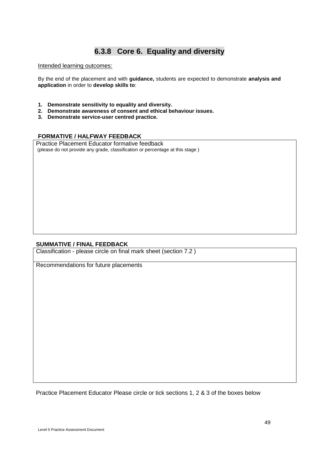### **6.3.8 Core 6. Equality and diversity**

#### Intended learning outcomes:

By the end of the placement and with **guidance,** students are expected to demonstrate **analysis and application** in order to **develop skills to**:

- **1. Demonstrate sensitivity to equality and diversity.**
- **2. Demonstrate awareness of consent and ethical behaviour issues.**
- **3. Demonstrate service-user centred practice.**

#### **FORMATIVE / HALFWAY FEEDBACK**

Practice Placement Educator formative feedback (please do not provide any grade, classification or percentage at this stage )

#### **SUMMATIVE / FINAL FEEDBACK**

Classification - please circle on final mark sheet (section 7.2 )

Recommendations for future placements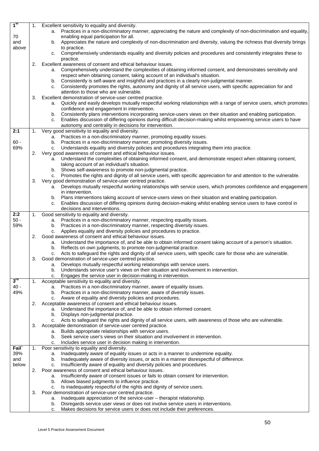| 1 <sup>st</sup> | 1. | Excellent sensitivity to equality and diversity.                                                                                                                                   |
|-----------------|----|------------------------------------------------------------------------------------------------------------------------------------------------------------------------------------|
|                 |    | a. Practices in a non-discriminatory manner, appreciating the nature and complexity of non-discrimination and equality,                                                            |
| 70              |    | enabling equal participation for all.                                                                                                                                              |
| and             |    | Appreciates the nature and complexity of non-discrimination and diversity, valuing the richness that diversity brings<br>b.                                                        |
| above           |    | to practice.                                                                                                                                                                       |
|                 |    | Comprehensively understands equality and diversity policies and procedures and consistently integrates these to<br>C.                                                              |
|                 |    | practice.                                                                                                                                                                          |
|                 | 2. | Excellent awareness of consent and ethical behaviour issues.<br>Comprehensively understand the complexities of obtaining informed consent, and demonstrates sensitivity and<br>a.  |
|                 |    | respect when obtaining consent, taking account of an individual's situation.                                                                                                       |
|                 |    | b. Consistently is self-aware and insightful and practices in a clearly non-judgmental manner.                                                                                     |
|                 |    | Consistently promotes the rights, autonomy and dignity of all service users, with specific appreciation for and<br>c.                                                              |
|                 |    | attention to those who are vulnerable.                                                                                                                                             |
|                 | 3. | Excellent demonstration of service-user centred practice.                                                                                                                          |
|                 |    | Quickly and easily develops mutually respectful working relationships with a range of service users, which promotes<br>a.                                                          |
|                 |    | confidence and engagement in intervention.                                                                                                                                         |
|                 |    | b. Consistently plans interventions incorporating service-users views on their situation and enabling participation.                                                               |
|                 |    | Enables discussion of differing opinions during difficult decision-making whilst empowering service users to have<br>c.                                                            |
| 2:1             | 1. | autonomy and centrality in decisions for intervention.<br>Very good sensitivity to equality and diversity.                                                                         |
|                 |    | a. Practices in a non-discriminatory manner, promoting equality issues.                                                                                                            |
| $60 -$          |    | Practices in a non-discriminatory manner, promoting diversity issues.<br>b.                                                                                                        |
| 69%             |    | Understands equality and diversity policies and procedures integrating them into practice.<br>c.                                                                                   |
|                 | 2. | Very good awareness of consent and ethical behaviour issues.                                                                                                                       |
|                 |    | Understand the complexities of obtaining informed consent, and demonstrate respect when obtaining consent,<br>а.                                                                   |
|                 |    | taking account of an individual's situation.                                                                                                                                       |
|                 |    | Shows self-awareness to promote non-judgmental practice.<br>b.                                                                                                                     |
|                 | 3. | c. Promotes the rights and dignity of all service users, with specific appreciation for and attention to the vulnerable.                                                           |
|                 |    | Very good demonstration of service-user centred practice.<br>Develops mutually respectful working relationships with service users, which promotes confidence and engagement<br>a. |
|                 |    | in intervention.                                                                                                                                                                   |
|                 |    | Plans interventions taking account of service-users views on their situation and enabling participation.<br>b.                                                                     |
|                 |    | Enables discussion of differing opinions during decision-making whilst enabling service users to have control in<br>c.                                                             |
|                 |    | decisions and interventions.                                                                                                                                                       |
| 2:2             | 1. | Good sensitivity to equality and diversity.                                                                                                                                        |
| $50 -$          |    | a. Practices in a non-discriminatory manner, respecting equality issues.                                                                                                           |
| 59%             |    | Practices in a non-discriminatory manner, respecting diversity issues.<br>b.<br>Applies equality and diversity policies and procedures to practice.<br>c.                          |
|                 | 2. | Good awareness of consent and ethical behaviour issues.                                                                                                                            |
|                 |    | a. Understand the importance of, and be able to obtain informed consent taking account of a person's situation.                                                                    |
|                 |    | Reflects on own judgments, to promote non-judgmental practice.<br>b.                                                                                                               |
|                 |    | Acts to safeguard the rights and dignity of all service users, with specific care for those who are vulnerable.<br>c.                                                              |
|                 | 3. | Good demonstration of service-user centred practice.                                                                                                                               |
|                 |    | Develops mutually respectful working relationships with service users.<br>a.                                                                                                       |
|                 |    | Understands service user's views on their situation and involvement in intervention.<br>b.                                                                                         |
| 3 <sup>rd</sup> | 1. | Engages the service user in decision-making in intervention.<br>c.<br>Acceptable sensitivity to equality and diversity.                                                            |
| $40 -$          |    | a. Practices in a non-discriminatory manner, aware of equality issues.                                                                                                             |
| 49%             |    | Practices in a non-discriminatory manner, aware of diversity issues.<br>b.                                                                                                         |
|                 |    | Aware of equality and diversity policies and procedures.<br>c.                                                                                                                     |
|                 | 2. | Acceptable awareness of consent and ethical behaviour issues.                                                                                                                      |
|                 |    | Understand the importance of, and be able to obtain informed consent.<br>а.                                                                                                        |
|                 |    | Displays non-judgmental practice.<br>b.                                                                                                                                            |
|                 | 3. | c. Acts to safeguard the rights and dignity of all service users, with awareness of those who are vulnerable.                                                                      |
|                 |    | Acceptable demonstration of service-user centred practice.<br>Builds appropriate relationships with service users.<br>a.                                                           |
|                 |    | Seek service user's views on their situation and involvement in intervention.<br>b.                                                                                                |
|                 |    | Includes service user in decision making in intervention.<br>c.                                                                                                                    |
| <b>Fail</b>     | 1. | Poor sensitivity to equality and diversity.                                                                                                                                        |
| 39%             |    | Inadequately aware of equality issues or acts in a manner to undermine equality.<br>a.                                                                                             |
| and             |    | Inadequately aware of diversity issues, or acts in a manner disrespectful of difference.<br>b.                                                                                     |
| below           |    | Insufficiently aware of equality and diversity policies and procedures.<br>c.                                                                                                      |
|                 | 2. | Poor awareness of consent and ethical behaviour issues.                                                                                                                            |
|                 |    | Insufficiently aware of consent issues or fails to obtain consent for intervention.<br>a.<br>Allows biased judgments to influence practice.<br>b.                                  |
|                 |    | Is inadequately respectful of the rights and dignity of service users.<br>c.                                                                                                       |
|                 | 3. | Poor demonstration of service-user centred practice.                                                                                                                               |
|                 |    | Inadequate appreciation of the service-user - therapist relationship.<br>a.                                                                                                        |
|                 |    | Disregards service user views or does not involve service users in interventions.<br>b.                                                                                            |
|                 |    | Makes decisions for service users or does not include their preferences.<br>c.                                                                                                     |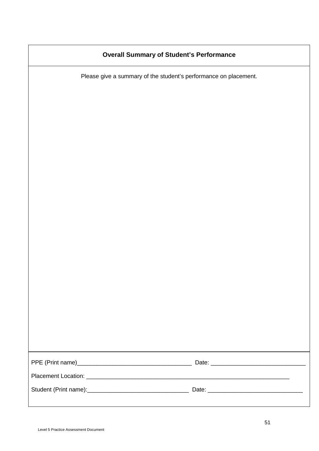| <b>Overall Summary of Student's Performance</b>                  |  |
|------------------------------------------------------------------|--|
| Please give a summary of the student's performance on placement. |  |
|                                                                  |  |
|                                                                  |  |
|                                                                  |  |
|                                                                  |  |
|                                                                  |  |
|                                                                  |  |
|                                                                  |  |
|                                                                  |  |
|                                                                  |  |
|                                                                  |  |
|                                                                  |  |
|                                                                  |  |
|                                                                  |  |
|                                                                  |  |
|                                                                  |  |
|                                                                  |  |
|                                                                  |  |
|                                                                  |  |
|                                                                  |  |
|                                                                  |  |
|                                                                  |  |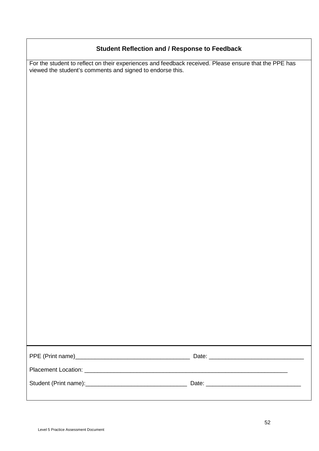### **Student Reflection and / Response to Feedback**

For the student to reflect on their experiences and feedback received. Please ensure that the PPE has viewed the student's comments and signed to endorse this.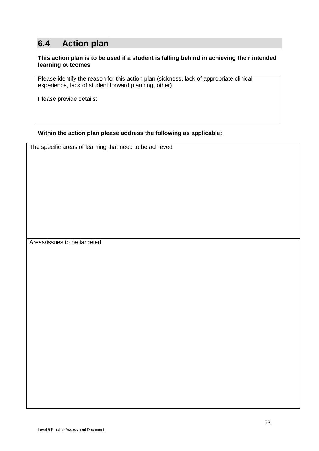# **6.4 Action plan**

#### **This action plan is to be used if a student is falling behind in achieving their intended learning outcomes**

Please identify the reason for this action plan (sickness, lack of appropriate clinical experience, lack of student forward planning, other).

Please provide details:

#### **Within the action plan please address the following as applicable:**

The specific areas of learning that need to be achieved

Areas/issues to be targeted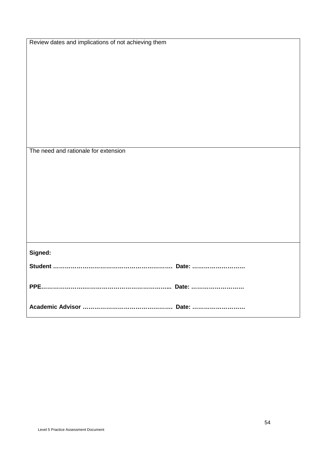| Review dates and implications of not achieving them |
|-----------------------------------------------------|
|                                                     |
|                                                     |
|                                                     |
|                                                     |
|                                                     |
|                                                     |
|                                                     |
|                                                     |
|                                                     |
|                                                     |
|                                                     |
|                                                     |
|                                                     |
|                                                     |
| The need and rationale for extension                |
|                                                     |
|                                                     |
|                                                     |
|                                                     |
|                                                     |
|                                                     |
|                                                     |
|                                                     |
|                                                     |
|                                                     |
|                                                     |
|                                                     |
|                                                     |
| Signed:                                             |
|                                                     |
|                                                     |
|                                                     |
|                                                     |
|                                                     |
|                                                     |
|                                                     |
|                                                     |
|                                                     |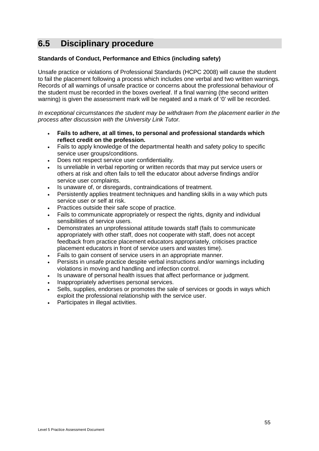# **6.5 Disciplinary procedure**

#### **Standards of Conduct, Performance and Ethics (including safety)**

Unsafe practice or violations of Professional Standards (HCPC 2008) will cause the student to fail the placement following a process which includes one verbal and two written warnings. Records of all warnings of unsafe practice or concerns about the professional behaviour of the student must be recorded in the boxes overleaf. If a final warning (the second written warning) is given the assessment mark will be negated and a mark of '0' will be recorded.

*In exceptional circumstances the student may be withdrawn from the placement earlier in the process after discussion with the University Link Tutor.*

- **Fails to adhere, at all times, to personal and professional standards which reflect credit on the profession.**
- Fails to apply knowledge of the departmental health and safety policy to specific service user groups/conditions.
- Does not respect service user confidentiality.
- Is unreliable in verbal reporting or written records that may put service users or others at risk and often fails to tell the educator about adverse findings and/or service user complaints.
- Is unaware of, or disregards, contraindications of treatment.
- Persistently applies treatment techniques and handling skills in a way which puts service user or self at risk.
- Practices outside their safe scope of practice.
- Fails to communicate appropriately or respect the rights, dignity and individual sensibilities of service users.
- Demonstrates an unprofessional attitude towards staff (fails to communicate appropriately with other staff, does not cooperate with staff, does not accept feedback from practice placement educators appropriately, criticises practice placement educators in front of service users and wastes time).
- Fails to gain consent of service users in an appropriate manner.
- Persists in unsafe practice despite verbal instructions and/or warnings including violations in moving and handling and infection control.
- Is unaware of personal health issues that affect performance or judgment.
- Inappropriately advertises personal services.
- Sells, supplies, endorses or promotes the sale of services or goods in ways which exploit the professional relationship with the service user.
- Participates in illegal activities.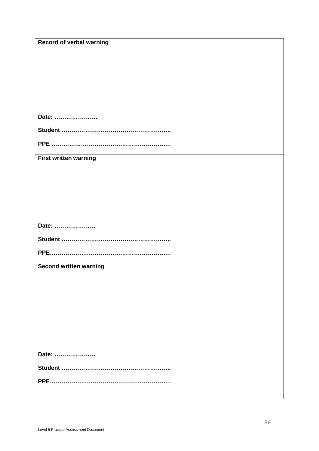| <b>Record of verbal warning</b> |
|---------------------------------|
|                                 |
|                                 |
|                                 |
|                                 |
|                                 |
|                                 |
|                                 |
| Date:                           |
|                                 |
|                                 |
|                                 |
| <b>First written warning</b>    |
|                                 |
|                                 |
|                                 |
|                                 |
|                                 |
|                                 |
| Date:                           |
|                                 |
|                                 |
|                                 |
|                                 |
| <b>Second written warning</b>   |
|                                 |
|                                 |
|                                 |
|                                 |
|                                 |
|                                 |
|                                 |
|                                 |
|                                 |
|                                 |
| Date:                           |
|                                 |
|                                 |
|                                 |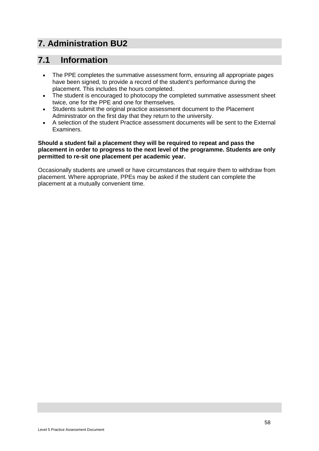# **7. Administration BU2**

## **7.1 Information**

- The PPE completes the summative assessment form, ensuring all appropriate pages have been signed, to provide a record of the student's performance during the placement. This includes the hours completed.
- The student is encouraged to photocopy the completed summative assessment sheet twice, one for the PPE and one for themselves.
- Students submit the original practice assessment document to the Placement Administrator on the first day that they return to the university.
- A selection of the student Practice assessment documents will be sent to the External Examiners.

#### **Should a student fail a placement they will be required to repeat and pass the placement in order to progress to the next level of the programme. Students are only permitted to re-sit one placement per academic year.**

Occasionally students are unwell or have circumstances that require them to withdraw from placement. Where appropriate, PPEs may be asked if the student can complete the placement at a mutually convenient time.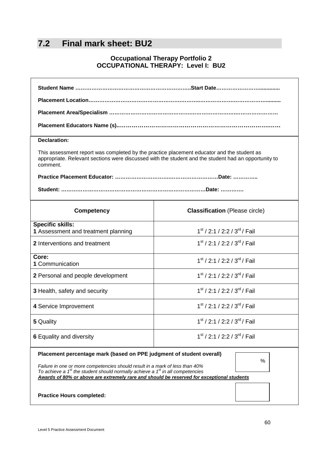# **7.2 Final mark sheet: BU2**

### **Occupational Therapy Portfolio 2 OCCUPATIONAL THERAPY: Level I: BU2**

| Student Name ……………………………………………………………………Start Date……………………………                                                                                                                                                   |                                            |  |  |  |  |
|----------------------------------------------------------------------------------------------------------------------------------------------------------------------------------------------------------------|--------------------------------------------|--|--|--|--|
|                                                                                                                                                                                                                |                                            |  |  |  |  |
|                                                                                                                                                                                                                |                                            |  |  |  |  |
|                                                                                                                                                                                                                |                                            |  |  |  |  |
| <b>Declaration:</b>                                                                                                                                                                                            |                                            |  |  |  |  |
| This assessment report was completed by the practice placement educator and the student as<br>appropriate. Relevant sections were discussed with the student and the student had an opportunity to<br>comment. |                                            |  |  |  |  |
|                                                                                                                                                                                                                |                                            |  |  |  |  |
|                                                                                                                                                                                                                |                                            |  |  |  |  |
| <b>Competency</b>                                                                                                                                                                                              | <b>Classification</b> (Please circle)      |  |  |  |  |
| <b>Specific skills:</b><br>1 Assessment and treatment planning                                                                                                                                                 | $1st$ / 2:1 / 2:2 / 3 <sup>rd</sup> / Fail |  |  |  |  |
| 2 Interventions and treatment                                                                                                                                                                                  | $1st$ / 2:1 / 2:2 / 3 <sup>rd</sup> / Fail |  |  |  |  |
| Core:<br>1 Communication                                                                                                                                                                                       | $1st$ / 2:1 / 2:2 / 3 <sup>rd</sup> / Fail |  |  |  |  |
| 2 Personal and people development                                                                                                                                                                              | $1st$ / 2:1 / 2:2 / 3 <sup>rd</sup> / Fail |  |  |  |  |
| 3 Health, safety and security                                                                                                                                                                                  | $1st$ / 2:1 / 2:2 / 3 <sup>rd</sup> / Fail |  |  |  |  |
| 4 Service Improvement                                                                                                                                                                                          | $1st$ / 2:1 / 2:2 / 3 <sup>rd</sup> / Fail |  |  |  |  |
| 5 Quality                                                                                                                                                                                                      | $1st$ / 2:1 / 2:2 / 3 <sup>rd</sup> / Fail |  |  |  |  |
| 1 <sup>st</sup> / 2:1 / 2:2 / 3 <sup>rd</sup> / Fail<br><b>6 Equality and diversity</b>                                                                                                                        |                                            |  |  |  |  |
| Placement percentage mark (based on PPE judgment of student overall)<br>%<br>Failure in one or more competencies should result in a mark of less than 40%                                                      |                                            |  |  |  |  |
| To achieve a $1st$ the student should normally achieve a $1st$ in all competencies<br>Awards of 80% or above are extremely rare and should be reserved for exceptional students                                |                                            |  |  |  |  |
| <b>Practice Hours completed:</b>                                                                                                                                                                               |                                            |  |  |  |  |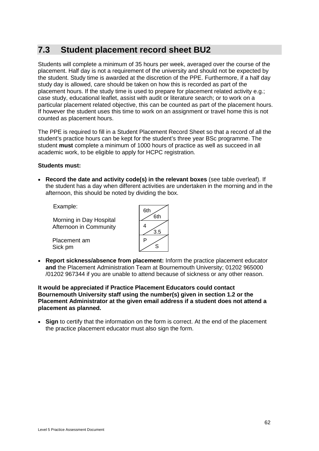# **7.3 Student placement record sheet BU2**

Students will complete a minimum of 35 hours per week, averaged over the course of the placement. Half day is not a requirement of the university and should not be expected by the student. Study time is awarded at the discretion of the PPE. Furthermore, if a half day study day is allowed, care should be taken on how this is recorded as part of the placement hours. If the study time is used to prepare for placement related activity e.g.; case study, educational leaflet, assist with audit or literature search; or to work on a particular placement related objective, this can be counted as part of the placement hours. If however the student uses this time to work on an assignment or travel home this is not counted as placement hours.

The PPE is required to fill in a Student Placement Record Sheet so that a record of all the student's practice hours can be kept for the student's three year BSc programme. The student **must** complete a minimum of 1000 hours of practice as well as succeed in all academic work, to be eligible to apply for HCPC registration.

#### **Students must:**

• **Record the date and activity code(s) in the relevant boxes** (see table overleaf). If the student has a day when different activities are undertaken in the morning and in the afternoon, this should be noted by dividing the box.

Example:

Morning in Day Hospital Afternoon in Community

Placement am Sick pm



• **Report sickness/absence from placement:** Inform the practice placement educator **and** the Placement Administration Team at Bournemouth University; 01202 965000 /01202 967344 if you are unable to attend because of sickness or any other reason.

**It would be appreciated if Practice Placement Educators could contact Bournemouth University staff using the number(s) given in section 1.2 or the Placement Administrator at the given email address if a student does not attend a placement as planned.**

• **Sign** to certify that the information on the form is correct. At the end of the placement the practice placement educator must also sign the form.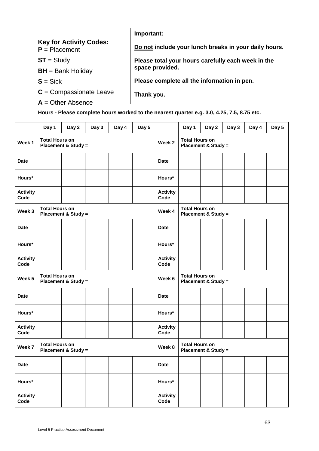| Important:                                            |
|-------------------------------------------------------|
| Do not include your lunch breaks in your daily hours. |
| Please total your hours carefully each week in the    |
| space provided.                                       |
| Please complete all the information in pen.           |
| Thank you.                                            |
|                                                       |
|                                                       |

**Hours - Please complete hours worked to the nearest quarter e.g. 3.0, 4.25, 7.5, 8.75 etc.**

|                         | Day 1                                                   | Day 2 | Day 3 | Day 4  | Day 5                                                   |                                                         | Day 1                                                   | Day 2 | Day 3 | Day 4 | Day 5 |
|-------------------------|---------------------------------------------------------|-------|-------|--------|---------------------------------------------------------|---------------------------------------------------------|---------------------------------------------------------|-------|-------|-------|-------|
| Week 1                  | <b>Total Hours on</b><br><b>Placement &amp; Study =</b> |       |       |        |                                                         | Week 2                                                  | <b>Total Hours on</b><br><b>Placement &amp; Study =</b> |       |       |       |       |
| <b>Date</b>             |                                                         |       |       |        |                                                         | <b>Date</b>                                             |                                                         |       |       |       |       |
| Hours*                  |                                                         |       |       |        |                                                         | Hours*                                                  |                                                         |       |       |       |       |
| <b>Activity</b><br>Code |                                                         |       |       |        |                                                         | <b>Activity</b><br>Code                                 |                                                         |       |       |       |       |
| Week 3                  | <b>Total Hours on</b><br><b>Placement &amp; Study =</b> |       |       |        | Week 4                                                  | <b>Total Hours on</b><br><b>Placement &amp; Study =</b> |                                                         |       |       |       |       |
| <b>Date</b>             |                                                         |       |       |        |                                                         | <b>Date</b>                                             |                                                         |       |       |       |       |
| Hours*                  |                                                         |       |       |        |                                                         | Hours*                                                  |                                                         |       |       |       |       |
| <b>Activity</b><br>Code |                                                         |       |       |        |                                                         | <b>Activity</b><br>Code                                 |                                                         |       |       |       |       |
| Week 5                  | <b>Total Hours on</b><br><b>Placement &amp; Study =</b> |       |       |        |                                                         | Week 6                                                  | <b>Total Hours on</b><br><b>Placement &amp; Study =</b> |       |       |       |       |
| <b>Date</b>             |                                                         |       |       |        |                                                         | <b>Date</b>                                             |                                                         |       |       |       |       |
| Hours*                  |                                                         |       |       |        |                                                         | Hours*                                                  |                                                         |       |       |       |       |
| <b>Activity</b><br>Code |                                                         |       |       |        |                                                         | <b>Activity</b><br>Code                                 |                                                         |       |       |       |       |
| Week 7                  | <b>Total Hours on</b><br><b>Placement &amp; Study =</b> |       |       | Week 8 | <b>Total Hours on</b><br><b>Placement &amp; Study =</b> |                                                         |                                                         |       |       |       |       |
| <b>Date</b>             |                                                         |       |       |        |                                                         | <b>Date</b>                                             |                                                         |       |       |       |       |
| Hours*                  |                                                         |       |       |        |                                                         | Hours*                                                  |                                                         |       |       |       |       |
| <b>Activity</b><br>Code |                                                         |       |       |        |                                                         | <b>Activity</b><br>Code                                 |                                                         |       |       |       |       |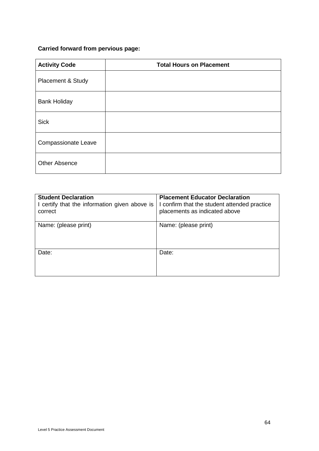### **Carried forward from pervious page:**

| <b>Activity Code</b>       | <b>Total Hours on Placement</b> |
|----------------------------|---------------------------------|
| Placement & Study          |                                 |
| <b>Bank Holiday</b>        |                                 |
| <b>Sick</b>                |                                 |
| <b>Compassionate Leave</b> |                                 |
| <b>Other Absence</b>       |                                 |

| <b>Student Declaration</b><br>I certify that the information given above is<br>correct | <b>Placement Educator Declaration</b><br>I confirm that the student attended practice<br>placements as indicated above |
|----------------------------------------------------------------------------------------|------------------------------------------------------------------------------------------------------------------------|
| Name: (please print)                                                                   | Name: (please print)                                                                                                   |
| Date:                                                                                  | Date:                                                                                                                  |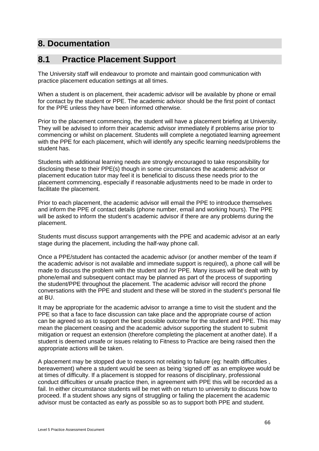# **8. Documentation**

## **8.1 Practice Placement Support**

The University staff will endeavour to promote and maintain good communication with practice placement education settings at all times.

When a student is on placement, their academic advisor will be available by phone or email for contact by the student or PPE. The academic advisor should be the first point of contact for the PPE unless they have been informed otherwise.

Prior to the placement commencing, the student will have a placement briefing at University. They will be advised to inform their academic advisor immediately if problems arise prior to commencing or whilst on placement. Students will complete a negotiated learning agreement with the PPE for each placement, which will identify any specific learning needs/problems the student has.

Students with additional learning needs are strongly encouraged to take responsibility for disclosing these to their PPE(s) though in some circumstances the academic advisor or placement education tutor may feel it is beneficial to discuss these needs prior to the placement commencing, especially if reasonable adjustments need to be made in order to facilitate the placement.

Prior to each placement, the academic advisor will email the PPE to introduce themselves and inform the PPE of contact details (phone number, email and working hours). The PPE will be asked to inform the student's academic advisor if there are any problems during the placement.

Students must discuss support arrangements with the PPE and academic advisor at an early stage during the placement, including the half-way phone call.

Once a PPE/student has contacted the academic advisor (or another member of the team if the academic advisor is not available and immediate support is required), a phone call will be made to discuss the problem with the student and /or PPE. Many issues will be dealt with by phone/email and subsequent contact may be planned as part of the process of supporting the student/PPE throughout the placement. The academic advisor will record the phone conversations with the PPE and student and these will be stored in the student's personal file at BU.

It may be appropriate for the academic advisor to arrange a time to visit the student and the PPE so that a face to face discussion can take place and the appropriate course of action can be agreed so as to support the best possible outcome for the student and PPE. This may mean the placement ceasing and the academic advisor supporting the student to submit mitigation or request an extension (therefore completing the placement at another date). If a student is deemed unsafe or issues relating to Fitness to Practice are being raised then the appropriate actions will be taken.

A placement may be stopped due to reasons not relating to failure (eg: health difficulties , bereavement) where a student would be seen as being 'signed off' as an employee would be at times of difficulty. If a placement is stopped for reasons of disciplinary, professional conduct difficulties or unsafe practice then, in agreement with PPE this will be recorded as a fail. In either circumstance students will be met with on return to university to discuss how to proceed. If a student shows any signs of struggling or failing the placement the academic advisor must be contacted as early as possible so as to support both PPE and student.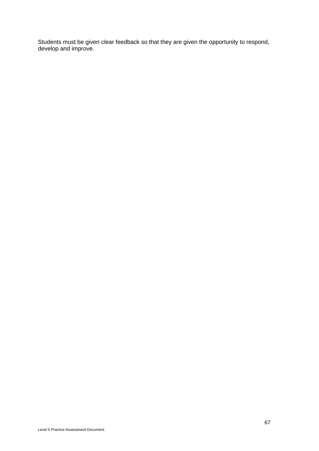Students must be given clear feedback so that they are given the opportunity to respond, develop and improve.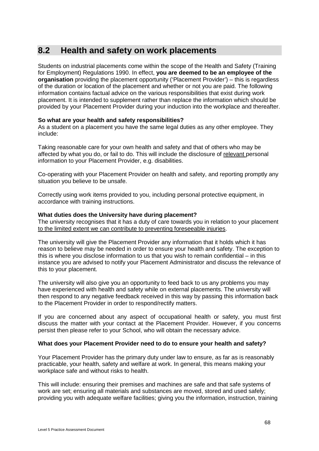## **8.2 Health and safety on work placements**

Students on industrial placements come within the scope of the Health and Safety (Training for Employment) Regulations 1990. In effect, **you are deemed to be an employee of the organisation** providing the placement opportunity ('Placement Provider') – this is regardless of the duration or location of the placement and whether or not you are paid. The following information contains factual advice on the various responsibilities that exist during work placement. It is intended to supplement rather than replace the information which should be provided by your Placement Provider during your induction into the workplace and thereafter.

#### **So what are your health and safety responsibilities?**

As a student on a placement you have the same legal duties as any other employee. They include:

Taking reasonable care for your own health and safety and that of others who may be affected by what you do, or fail to do. This will include the disclosure of relevant personal information to your Placement Provider, e.g. disabilities.

Co-operating with your Placement Provider on health and safety, and reporting promptly any situation you believe to be unsafe.

Correctly using work items provided to you, including personal protective equipment, in accordance with training instructions.

#### **What duties does the University have during placement?**

The university recognises that it has a duty of care towards you in relation to your placement to the limited extent we can contribute to preventing foreseeable injuries.

The university will give the Placement Provider any information that it holds which it has reason to believe may be needed in order to ensure your health and safety. The exception to this is where you disclose information to us that you wish to remain confidential – in this instance you are advised to notify your Placement Administrator and discuss the relevance of this to your placement.

The university will also give you an opportunity to feed back to us any problems you may have experienced with health and safety while on external placements. The university will then respond to any negative feedback received in this way by passing this information back to the Placement Provider in order to respond/rectify matters.

If you are concerned about any aspect of occupational health or safety, you must first discuss the matter with your contact at the Placement Provider. However, if you concerns persist then please refer to your School, who will obtain the necessary advice.

#### **What does your Placement Provider need to do to ensure your health and safety?**

Your Placement Provider has the primary duty under law to ensure, as far as is reasonably practicable, your health, safety and welfare at work. In general, this means making your workplace safe and without risks to health.

This will include: ensuring their premises and machines are safe and that safe systems of work are set; ensuring all materials and substances are moved, stored and used safely; providing you with adequate welfare facilities; giving you the information, instruction, training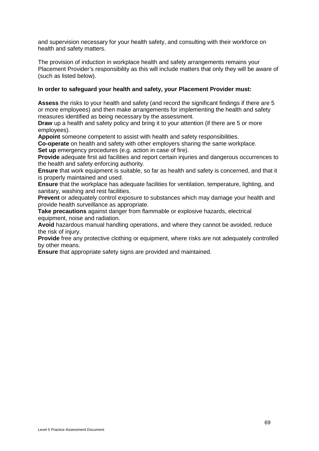and supervision necessary for your health safety, and consulting with their workforce on health and safety matters.

The provision of induction in workplace health and safety arrangements remains your Placement Provider's responsibility as this will include matters that only they will be aware of (such as listed below).

#### **In order to safeguard your health and safety, your Placement Provider must:**

**Assess** the risks to your health and safety (and record the significant findings if there are 5 or more employees) and then make arrangements for implementing the health and safety measures identified as being necessary by the assessment.

**Draw** up a health and safety policy and bring it to your attention (if there are 5 or more employees).

**Appoint** someone competent to assist with health and safety responsibilities.

**Co-operate** on health and safety with other employers sharing the same workplace. **Set up** emergency procedures (e.g. action in case of fire).

**Provide** adequate first aid facilities and report certain injuries and dangerous occurrences to the health and safety enforcing authority.

**Ensure** that work equipment is suitable, so far as health and safety is concerned, and that it is properly maintained and used.

**Ensure** that the workplace has adequate facilities for ventilation, temperature, lighting, and sanitary, washing and rest facilities.

**Prevent** or adequately control exposure to substances which may damage your health and provide health surveillance as appropriate.

**Take precautions** against danger from flammable or explosive hazards, electrical equipment, noise and radiation.

**Avoid** hazardous manual handling operations, and where they cannot be avoided, reduce the risk of injury.

**Provide** free any protective clothing or equipment, where risks are not adequately controlled by other means.

**Ensure** that appropriate safety signs are provided and maintained.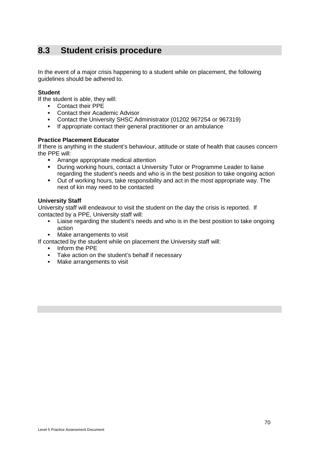# **8.3 Student crisis procedure**

In the event of a major crisis happening to a student while on placement, the following guidelines should be adhered to.

#### **Student**

If the student is able, they will:

- Contact their PPE
- Contact their Academic Advisor
- Contact the University SHSC Administrator (01202 967254 or 967319)
- If appropriate contact their general practitioner or an ambulance

#### **Practice Placement Educator**

If there is anything in the student's behaviour, attitude or state of health that causes concern the PPE will:

- **F** Arrange appropriate medical attention
- During working hours, contact a University Tutor or Programme Leader to liaise regarding the student's needs and who is in the best position to take ongoing action
- Out of working hours, take responsibility and act in the most appropriate way. The next of kin may need to be contacted

#### **University Staff**

University staff will endeavour to visit the student on the day the crisis is reported. If contacted by a PPE, University staff will:

- Liaise regarding the student's needs and who is in the best position to take ongoing action
- Make arrangements to visit
- If contacted by the student while on placement the University staff will:
	- **Inform the PPE**
	- Take action on the student's behalf if necessary
	- **Make arrangements to visit**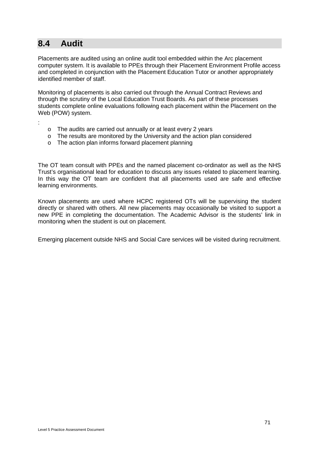## **8.4 Audit**

:

Placements are audited using an online audit tool embedded within the Arc placement computer system. It is available to PPEs through their Placement Environment Profile access and completed in conjunction with the Placement Education Tutor or another appropriately identified member of staff.

Monitoring of placements is also carried out through the Annual Contract Reviews and through the scrutiny of the Local Education Trust Boards. As part of these processes students complete online evaluations following each placement within the Placement on the Web (POW) system.

- o The audits are carried out annually or at least every 2 years
- $\circ$  The results are monitored by the University and the action plan considered
- o The action plan informs forward placement planning

The OT team consult with PPEs and the named placement co-ordinator as well as the NHS Trust's organisational lead for education to discuss any issues related to placement learning. In this way the OT team are confident that all placements used are safe and effective learning environments.

Known placements are used where HCPC registered OTs will be supervising the student directly or shared with others. All new placements may occasionally be visited to support a new PPE in completing the documentation. The Academic Advisor is the students' link in monitoring when the student is out on placement.

Emerging placement outside NHS and Social Care services will be visited during recruitment.